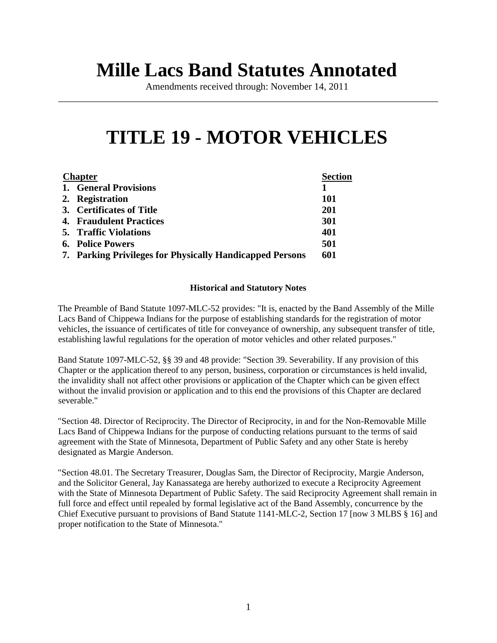# **Mille Lacs Band Statutes Annotated**

Amendments received through: November 14, 2011 \_\_\_\_\_\_\_\_\_\_\_\_\_\_\_\_\_\_\_\_\_\_\_\_\_\_\_\_\_\_\_\_\_\_\_\_\_\_\_\_\_\_\_\_\_\_\_\_\_\_\_\_\_\_\_\_\_\_\_\_\_\_\_\_\_\_\_\_\_\_\_\_\_\_\_\_\_\_

# **TITLE 19 - MOTOR VEHICLES**

| <b>Chapter</b> |                                                          | <b>Section</b> |
|----------------|----------------------------------------------------------|----------------|
|                | 1. General Provisions                                    |                |
|                | 2. Registration                                          | 101            |
|                | 3. Certificates of Title                                 | 201            |
|                | <b>4. Fraudulent Practices</b>                           | <b>301</b>     |
|                | <b>5. Traffic Violations</b>                             | 401            |
|                | <b>6. Police Powers</b>                                  | 501            |
|                | 7. Parking Privileges for Physically Handicapped Persons | 601            |

### **Historical and Statutory Notes**

The Preamble of Band Statute 1097-MLC-52 provides: "It is, enacted by the Band Assembly of the Mille Lacs Band of Chippewa Indians for the purpose of establishing standards for the registration of motor vehicles, the issuance of certificates of title for conveyance of ownership, any subsequent transfer of title, establishing lawful regulations for the operation of motor vehicles and other related purposes."

Band Statute 1097-MLC-52, §§ 39 and 48 provide: "Section 39. Severability. If any provision of this Chapter or the application thereof to any person, business, corporation or circumstances is held invalid, the invalidity shall not affect other provisions or application of the Chapter which can be given effect without the invalid provision or application and to this end the provisions of this Chapter are declared severable."

"Section 48. Director of Reciprocity. The Director of Reciprocity, in and for the Non-Removable Mille Lacs Band of Chippewa Indians for the purpose of conducting relations pursuant to the terms of said agreement with the State of Minnesota, Department of Public Safety and any other State is hereby designated as Margie Anderson.

"Section 48.01. The Secretary Treasurer, Douglas Sam, the Director of Reciprocity, Margie Anderson, and the Solicitor General, Jay Kanassatega are hereby authorized to execute a Reciprocity Agreement with the State of Minnesota Department of Public Safety. The said Reciprocity Agreement shall remain in full force and effect until repealed by formal legislative act of the Band Assembly, concurrence by the Chief Executive pursuant to provisions of Band Statute 1141-MLC-2, Section 17 [now 3 MLBS § 16] and proper notification to the State of Minnesota."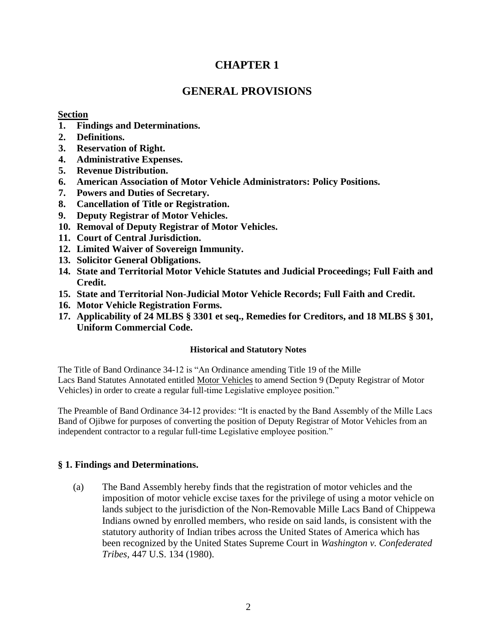# **CHAPTER 1**

# **GENERAL PROVISIONS**

### **Section**

- **1. Findings and Determinations.**
- **2. Definitions.**
- **3. Reservation of Right.**
- **4. Administrative Expenses.**
- **5. Revenue Distribution.**
- **6. American Association of Motor Vehicle Administrators: Policy Positions.**
- **7. Powers and Duties of Secretary.**
- **8. Cancellation of Title or Registration.**
- **9. Deputy Registrar of Motor Vehicles.**
- **10. Removal of Deputy Registrar of Motor Vehicles.**
- **11. Court of Central Jurisdiction.**
- **12. Limited Waiver of Sovereign Immunity.**
- **13. Solicitor General Obligations.**
- **14. State and Territorial Motor Vehicle Statutes and Judicial Proceedings; Full Faith and Credit.**
- **15. State and Territorial Non-Judicial Motor Vehicle Records; Full Faith and Credit.**
- **16. Motor Vehicle Registration Forms.**
- **17. Applicability of 24 MLBS § 3301 et seq., Remedies for Creditors, and 18 MLBS § 301, Uniform Commercial Code.**

### **Historical and Statutory Notes**

The Title of Band Ordinance 34-12 is "An Ordinance amending Title 19 of the Mille Lacs Band Statutes Annotated entitled Motor Vehicles to amend Section 9 (Deputy Registrar of Motor Vehicles) in order to create a regular full-time Legislative employee position."

The Preamble of Band Ordinance 34-12 provides: "It is enacted by the Band Assembly of the Mille Lacs Band of Ojibwe for purposes of converting the position of Deputy Registrar of Motor Vehicles from an independent contractor to a regular full-time Legislative employee position."

### **§ 1. Findings and Determinations.**

(a) The Band Assembly hereby finds that the registration of motor vehicles and the imposition of motor vehicle excise taxes for the privilege of using a motor vehicle on lands subject to the jurisdiction of the Non-Removable Mille Lacs Band of Chippewa Indians owned by enrolled members, who reside on said lands, is consistent with the statutory authority of Indian tribes across the United States of America which has been recognized by the United States Supreme Court in *Washington v. Confederated Tribes,* 447 U.S. 134 (1980).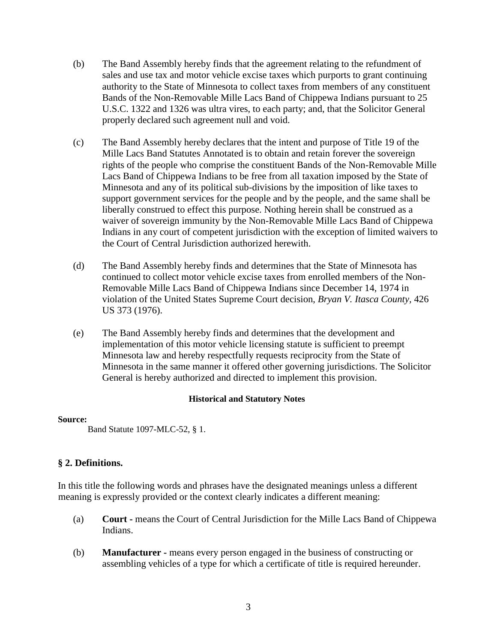- (b) The Band Assembly hereby finds that the agreement relating to the refundment of sales and use tax and motor vehicle excise taxes which purports to grant continuing authority to the State of Minnesota to collect taxes from members of any constituent Bands of the Non-Removable Mille Lacs Band of Chippewa Indians pursuant to 25 U.S.C. 1322 and 1326 was ultra vires, to each party; and, that the Solicitor General properly declared such agreement null and void.
- (c) The Band Assembly hereby declares that the intent and purpose of Title 19 of the Mille Lacs Band Statutes Annotated is to obtain and retain forever the sovereign rights of the people who comprise the constituent Bands of the Non-Removable Mille Lacs Band of Chippewa Indians to be free from all taxation imposed by the State of Minnesota and any of its political sub-divisions by the imposition of like taxes to support government services for the people and by the people, and the same shall be liberally construed to effect this purpose. Nothing herein shall be construed as a waiver of sovereign immunity by the Non-Removable Mille Lacs Band of Chippewa Indians in any court of competent jurisdiction with the exception of limited waivers to the Court of Central Jurisdiction authorized herewith.
- (d) The Band Assembly hereby finds and determines that the State of Minnesota has continued to collect motor vehicle excise taxes from enrolled members of the Non-Removable Mille Lacs Band of Chippewa Indians since December 14, 1974 in violation of the United States Supreme Court decision, *Bryan V. Itasca County,* 426 US 373 (1976).
- (e) The Band Assembly hereby finds and determines that the development and implementation of this motor vehicle licensing statute is sufficient to preempt Minnesota law and hereby respectfully requests reciprocity from the State of Minnesota in the same manner it offered other governing jurisdictions. The Solicitor General is hereby authorized and directed to implement this provision.

### **Source:**

Band Statute 1097-MLC-52, § 1.

### **§ 2. Definitions.**

In this title the following words and phrases have the designated meanings unless a different meaning is expressly provided or the context clearly indicates a different meaning:

- (a) **Court -** means the Court of Central Jurisdiction for the Mille Lacs Band of Chippewa Indians.
- (b) **Manufacturer -** means every person engaged in the business of constructing or assembling vehicles of a type for which a certificate of title is required hereunder.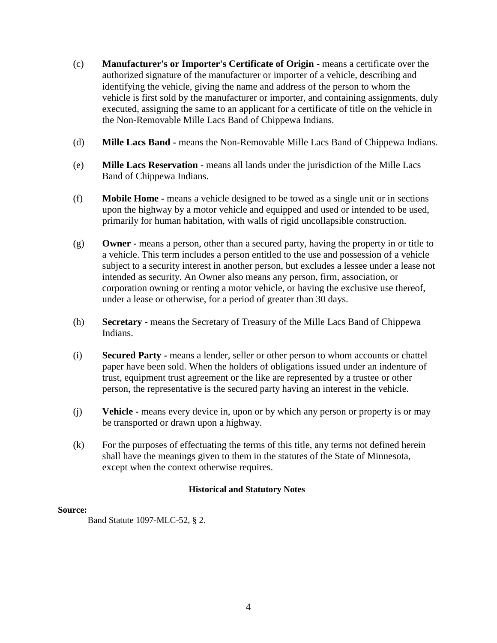- (c) **Manufacturer's or Importer's Certificate of Origin -** means a certificate over the authorized signature of the manufacturer or importer of a vehicle, describing and identifying the vehicle, giving the name and address of the person to whom the vehicle is first sold by the manufacturer or importer, and containing assignments, duly executed, assigning the same to an applicant for a certificate of title on the vehicle in the Non-Removable Mille Lacs Band of Chippewa Indians.
- (d) **Mille Lacs Band -** means the Non-Removable Mille Lacs Band of Chippewa Indians.
- (e) **Mille Lacs Reservation -** means all lands under the jurisdiction of the Mille Lacs Band of Chippewa Indians.
- (f) **Mobile Home -** means a vehicle designed to be towed as a single unit or in sections upon the highway by a motor vehicle and equipped and used or intended to be used, primarily for human habitation, with walls of rigid uncollapsible construction.
- (g) **Owner -** means a person, other than a secured party, having the property in or title to a vehicle. This term includes a person entitled to the use and possession of a vehicle subject to a security interest in another person, but excludes a lessee under a lease not intended as security. An Owner also means any person, firm, association, or corporation owning or renting a motor vehicle, or having the exclusive use thereof, under a lease or otherwise, for a period of greater than 30 days.
- (h) **Secretary -** means the Secretary of Treasury of the Mille Lacs Band of Chippewa Indians.
- (i) **Secured Party -** means a lender, seller or other person to whom accounts or chattel paper have been sold. When the holders of obligations issued under an indenture of trust, equipment trust agreement or the like are represented by a trustee or other person, the representative is the secured party having an interest in the vehicle.
- (j) **Vehicle -** means every device in, upon or by which any person or property is or may be transported or drawn upon a highway.
- (k) For the purposes of effectuating the terms of this title, any terms not defined herein shall have the meanings given to them in the statutes of the State of Minnesota, except when the context otherwise requires.

### **Source:**

Band Statute 1097-MLC-52, § 2.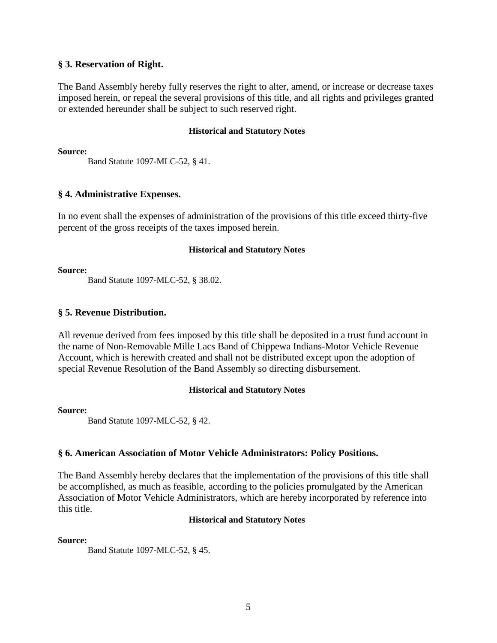### **§ 3. Reservation of Right.**

The Band Assembly hereby fully reserves the right to alter, amend, or increase or decrease taxes imposed herein, or repeal the several provisions of this title, and all rights and privileges granted or extended hereunder shall be subject to such reserved right.

### **Historical and Statutory Notes**

**Source:**

Band Statute 1097-MLC-52, § 41.

### **§ 4. Administrative Expenses.**

In no event shall the expenses of administration of the provisions of this title exceed thirty-five percent of the gross receipts of the taxes imposed herein.

### **Historical and Statutory Notes**

**Source:** 

Band Statute 1097-MLC-52, § 38.02.

### **§ 5. Revenue Distribution.**

All revenue derived from fees imposed by this title shall be deposited in a trust fund account in the name of Non-Removable Mille Lacs Band of Chippewa Indians-Motor Vehicle Revenue Account, which is herewith created and shall not be distributed except upon the adoption of special Revenue Resolution of the Band Assembly so directing disbursement.

### **Historical and Statutory Notes**

### **Source:**

Band Statute 1097-MLC-52, § 42.

### **§ 6. American Association of Motor Vehicle Administrators: Policy Positions.**

The Band Assembly hereby declares that the implementation of the provisions of this title shall be accomplished, as much as feasible, according to the policies promulgated by the American Association of Motor Vehicle Administrators, which are hereby incorporated by reference into this title.

### **Historical and Statutory Notes**

### **Source:**

Band Statute 1097-MLC-52, § 45.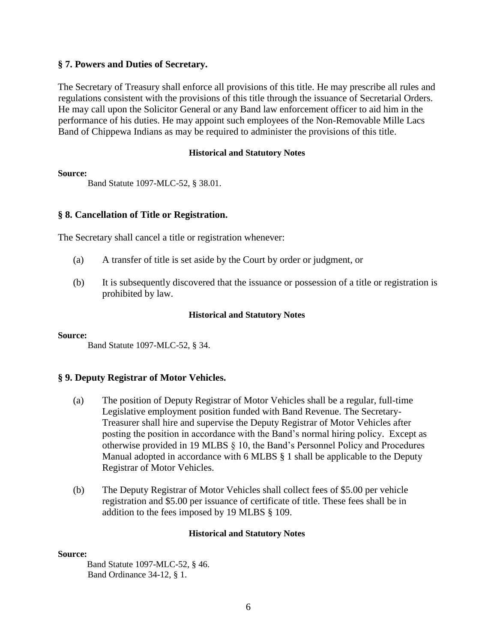### **§ 7. Powers and Duties of Secretary.**

The Secretary of Treasury shall enforce all provisions of this title. He may prescribe all rules and regulations consistent with the provisions of this title through the issuance of Secretarial Orders. He may call upon the Solicitor General or any Band law enforcement officer to aid him in the performance of his duties. He may appoint such employees of the Non-Removable Mille Lacs Band of Chippewa Indians as may be required to administer the provisions of this title.

### **Historical and Statutory Notes**

**Source:**

Band Statute 1097-MLC-52, § 38.01.

### **§ 8. Cancellation of Title or Registration.**

The Secretary shall cancel a title or registration whenever:

- (a) A transfer of title is set aside by the Court by order or judgment, or
- (b) It is subsequently discovered that the issuance or possession of a title or registration is prohibited by law.

### **Historical and Statutory Notes**

#### **Source:**

Band Statute 1097-MLC-52, § 34.

### **§ 9. Deputy Registrar of Motor Vehicles.**

- (a) The position of Deputy Registrar of Motor Vehicles shall be a regular, full-time Legislative employment position funded with Band Revenue. The Secretary-Treasurer shall hire and supervise the Deputy Registrar of Motor Vehicles after posting the position in accordance with the Band's normal hiring policy. Except as otherwise provided in 19 MLBS § 10, the Band's Personnel Policy and Procedures Manual adopted in accordance with 6 MLBS § 1 shall be applicable to the Deputy Registrar of Motor Vehicles.
- (b) The Deputy Registrar of Motor Vehicles shall collect fees of \$5.00 per vehicle registration and \$5.00 per issuance of certificate of title. These fees shall be in addition to the fees imposed by 19 MLBS § 109.

### **Historical and Statutory Notes**

### **Source:**

Band Statute 1097-MLC-52, § 46. Band Ordinance 34-12, § 1.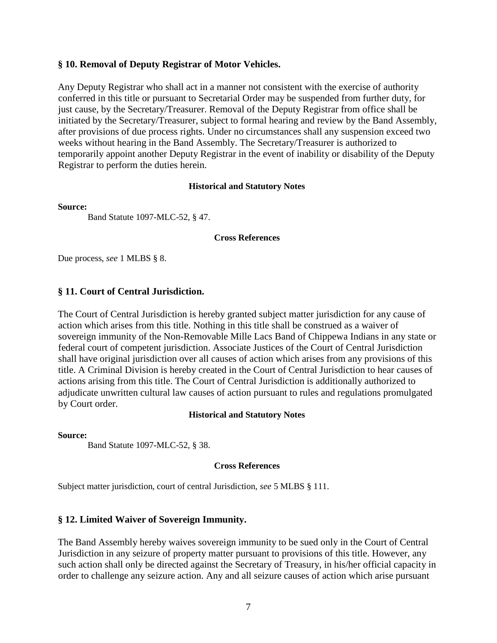### **§ 10. Removal of Deputy Registrar of Motor Vehicles.**

Any Deputy Registrar who shall act in a manner not consistent with the exercise of authority conferred in this title or pursuant to Secretarial Order may be suspended from further duty, for just cause, by the Secretary/Treasurer. Removal of the Deputy Registrar from office shall be initiated by the Secretary/Treasurer, subject to formal hearing and review by the Band Assembly, after provisions of due process rights. Under no circumstances shall any suspension exceed two weeks without hearing in the Band Assembly. The Secretary/Treasurer is authorized to temporarily appoint another Deputy Registrar in the event of inability or disability of the Deputy Registrar to perform the duties herein.

#### **Historical and Statutory Notes**

#### **Source:**

Band Statute 1097-MLC-52, § 47.

#### **Cross References**

Due process, *see* 1 MLBS § 8.

### **§ 11. Court of Central Jurisdiction.**

The Court of Central Jurisdiction is hereby granted subject matter jurisdiction for any cause of action which arises from this title. Nothing in this title shall be construed as a waiver of sovereign immunity of the Non-Removable Mille Lacs Band of Chippewa Indians in any state or federal court of competent jurisdiction. Associate Justices of the Court of Central Jurisdiction shall have original jurisdiction over all causes of action which arises from any provisions of this title. A Criminal Division is hereby created in the Court of Central Jurisdiction to hear causes of actions arising from this title. The Court of Central Jurisdiction is additionally authorized to adjudicate unwritten cultural law causes of action pursuant to rules and regulations promulgated by Court order.

### **Historical and Statutory Notes**

#### **Source:**

Band Statute 1097-MLC-52, § 38.

### **Cross References**

Subject matter jurisdiction, court of central Jurisdiction, *see* 5 MLBS § 111.

### **§ 12. Limited Waiver of Sovereign Immunity.**

The Band Assembly hereby waives sovereign immunity to be sued only in the Court of Central Jurisdiction in any seizure of property matter pursuant to provisions of this title. However, any such action shall only be directed against the Secretary of Treasury, in his/her official capacity in order to challenge any seizure action. Any and all seizure causes of action which arise pursuant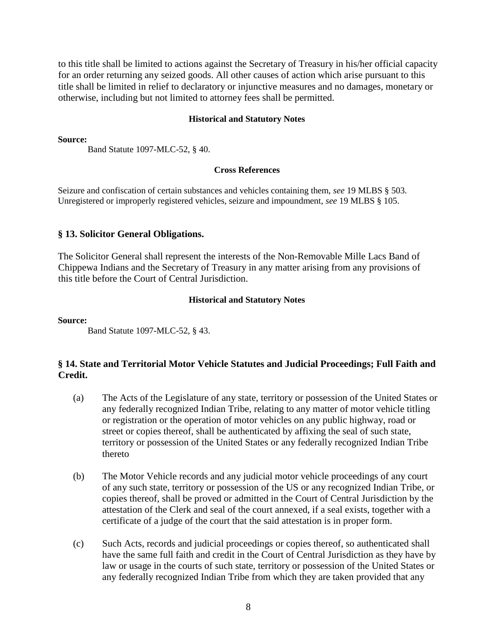to this title shall be limited to actions against the Secretary of Treasury in his/her official capacity for an order returning any seized goods. All other causes of action which arise pursuant to this title shall be limited in relief to declaratory or injunctive measures and no damages, monetary or otherwise, including but not limited to attorney fees shall be permitted.

#### **Historical and Statutory Notes**

**Source:** 

Band Statute 1097-MLC-52, § 40.

#### **Cross References**

Seizure and confiscation of certain substances and vehicles containing them, *see* 19 MLBS § 503. Unregistered or improperly registered vehicles, seizure and impoundment, *see* 19 MLBS § 105.

### **§ 13. Solicitor General Obligations.**

The Solicitor General shall represent the interests of the Non-Removable Mille Lacs Band of Chippewa Indians and the Secretary of Treasury in any matter arising from any provisions of this title before the Court of Central Jurisdiction.

#### **Historical and Statutory Notes**

**Source:** 

Band Statute 1097-MLC-52, § 43.

### **§ 14. State and Territorial Motor Vehicle Statutes and Judicial Proceedings; Full Faith and Credit.**

- (a) The Acts of the Legislature of any state, territory or possession of the United States or any federally recognized Indian Tribe, relating to any matter of motor vehicle titling or registration or the operation of motor vehicles on any public highway, road or street or copies thereof, shall be authenticated by affixing the seal of such state, territory or possession of the United States or any federally recognized Indian Tribe thereto
- (b) The Motor Vehicle records and any judicial motor vehicle proceedings of any court of any such state, territory or possession of the US or any recognized Indian Tribe, or copies thereof, shall be proved or admitted in the Court of Central Jurisdiction by the attestation of the Clerk and seal of the court annexed, if a seal exists, together with a certificate of a judge of the court that the said attestation is in proper form.
- (c) Such Acts, records and judicial proceedings or copies thereof, so authenticated shall have the same full faith and credit in the Court of Central Jurisdiction as they have by law or usage in the courts of such state, territory or possession of the United States or any federally recognized Indian Tribe from which they are taken provided that any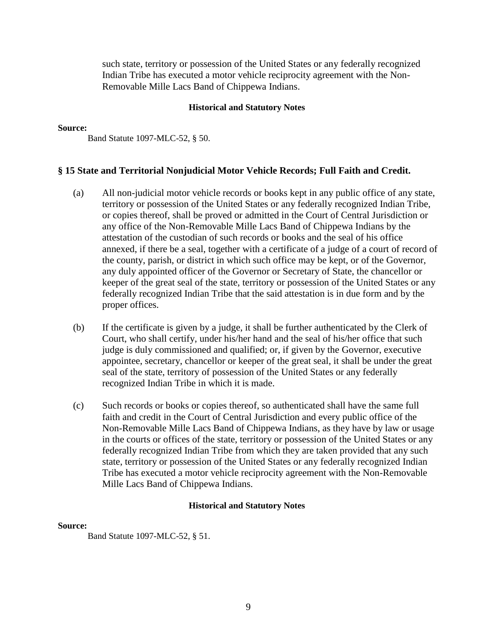such state, territory or possession of the United States or any federally recognized Indian Tribe has executed a motor vehicle reciprocity agreement with the Non-Removable Mille Lacs Band of Chippewa Indians.

### **Historical and Statutory Notes**

#### **Source:**

Band Statute 1097-MLC-52, § 50.

### **§ 15 State and Territorial Nonjudicial Motor Vehicle Records; Full Faith and Credit.**

- (a) All non-judicial motor vehicle records or books kept in any public office of any state, territory or possession of the United States or any federally recognized Indian Tribe, or copies thereof, shall be proved or admitted in the Court of Central Jurisdiction or any office of the Non-Removable Mille Lacs Band of Chippewa Indians by the attestation of the custodian of such records or books and the seal of his office annexed, if there be a seal, together with a certificate of a judge of a court of record of the county, parish, or district in which such office may be kept, or of the Governor, any duly appointed officer of the Governor or Secretary of State, the chancellor or keeper of the great seal of the state, territory or possession of the United States or any federally recognized Indian Tribe that the said attestation is in due form and by the proper offices.
- (b) If the certificate is given by a judge, it shall be further authenticated by the Clerk of Court, who shall certify, under his/her hand and the seal of his/her office that such judge is duly commissioned and qualified; or, if given by the Governor, executive appointee, secretary, chancellor or keeper of the great seal, it shall be under the great seal of the state, territory of possession of the United States or any federally recognized Indian Tribe in which it is made.
- (c) Such records or books or copies thereof, so authenticated shall have the same full faith and credit in the Court of Central Jurisdiction and every public office of the Non-Removable Mille Lacs Band of Chippewa Indians, as they have by law or usage in the courts or offices of the state, territory or possession of the United States or any federally recognized Indian Tribe from which they are taken provided that any such state, territory or possession of the United States or any federally recognized Indian Tribe has executed a motor vehicle reciprocity agreement with the Non-Removable Mille Lacs Band of Chippewa Indians.

### **Historical and Statutory Notes**

### **Source:**

Band Statute 1097-MLC-52, § 51.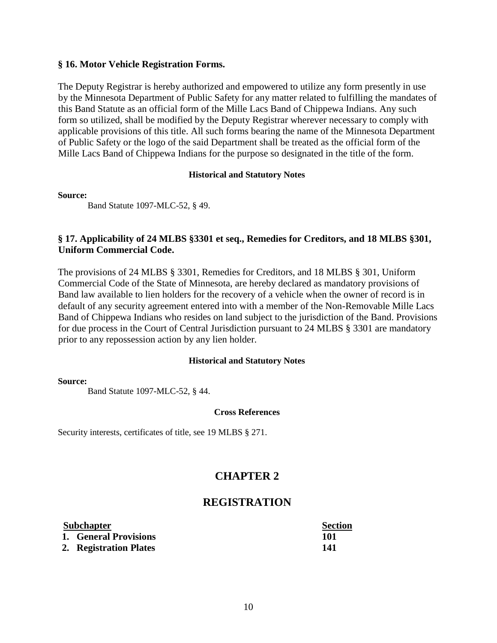### **§ 16. Motor Vehicle Registration Forms.**

The Deputy Registrar is hereby authorized and empowered to utilize any form presently in use by the Minnesota Department of Public Safety for any matter related to fulfilling the mandates of this Band Statute as an official form of the Mille Lacs Band of Chippewa Indians. Any such form so utilized, shall be modified by the Deputy Registrar wherever necessary to comply with applicable provisions of this title. All such forms bearing the name of the Minnesota Department of Public Safety or the logo of the said Department shall be treated as the official form of the Mille Lacs Band of Chippewa Indians for the purpose so designated in the title of the form.

### **Historical and Statutory Notes**

### **Source:**

Band Statute 1097-MLC-52, § 49.

### **§ 17. Applicability of 24 MLBS §3301 et seq., Remedies for Creditors, and 18 MLBS §301, Uniform Commercial Code.**

The provisions of 24 MLBS § 3301, Remedies for Creditors, and 18 MLBS § 301, Uniform Commercial Code of the State of Minnesota, are hereby declared as mandatory provisions of Band law available to lien holders for the recovery of a vehicle when the owner of record is in default of any security agreement entered into with a member of the Non-Removable Mille Lacs Band of Chippewa Indians who resides on land subject to the jurisdiction of the Band. Provisions for due process in the Court of Central Jurisdiction pursuant to 24 MLBS § 3301 are mandatory prior to any repossession action by any lien holder.

### **Historical and Statutory Notes**

### **Source:**

Band Statute 1097-MLC-52, § 44.

### **Cross References**

Security interests, certificates of title, see 19 MLBS § 271.

# **CHAPTER 2**

# **REGISTRATION**

| <b>Subchapter</b> |                        | <b>Section</b> |
|-------------------|------------------------|----------------|
|                   | 1. General Provisions  | 101            |
|                   | 2. Registration Plates | 141            |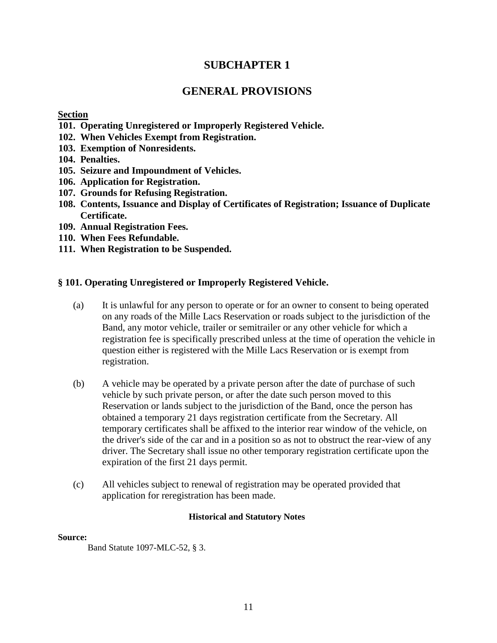# **SUBCHAPTER 1**

# **GENERAL PROVISIONS**

### **Section**

- **101. Operating Unregistered or Improperly Registered Vehicle.**
- **102. When Vehicles Exempt from Registration.**
- **103. Exemption of Nonresidents.**
- **104. Penalties.**
- **105. Seizure and Impoundment of Vehicles.**
- **106. Application for Registration.**
- **107. Grounds for Refusing Registration.**
- **108. Contents, Issuance and Display of Certificates of Registration; Issuance of Duplicate Certificate.**
- **109. Annual Registration Fees.**
- **110. When Fees Refundable.**
- **111. When Registration to be Suspended.**

### **§ 101. Operating Unregistered or Improperly Registered Vehicle.**

- (a) It is unlawful for any person to operate or for an owner to consent to being operated on any roads of the Mille Lacs Reservation or roads subject to the jurisdiction of the Band, any motor vehicle, trailer or semitrailer or any other vehicle for which a registration fee is specifically prescribed unless at the time of operation the vehicle in question either is registered with the Mille Lacs Reservation or is exempt from registration.
- (b) A vehicle may be operated by a private person after the date of purchase of such vehicle by such private person, or after the date such person moved to this Reservation or lands subject to the jurisdiction of the Band, once the person has obtained a temporary 21 days registration certificate from the Secretary. All temporary certificates shall be affixed to the interior rear window of the vehicle, on the driver's side of the car and in a position so as not to obstruct the rear-view of any driver. The Secretary shall issue no other temporary registration certificate upon the expiration of the first 21 days permit.
- (c) All vehicles subject to renewal of registration may be operated provided that application for reregistration has been made.

### **Historical and Statutory Notes**

### **Source:**

Band Statute 1097-MLC-52, § 3.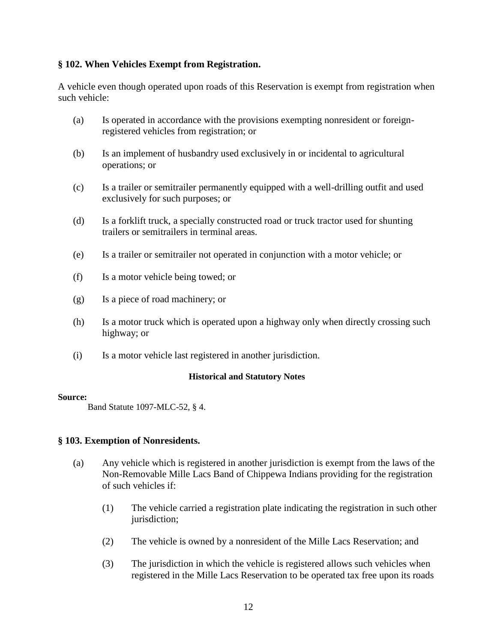### **§ 102. When Vehicles Exempt from Registration.**

A vehicle even though operated upon roads of this Reservation is exempt from registration when such vehicle:

- (a) Is operated in accordance with the provisions exempting nonresident or foreignregistered vehicles from registration; or
- (b) Is an implement of husbandry used exclusively in or incidental to agricultural operations; or
- (c) Is a trailer or semitrailer permanently equipped with a well-drilling outfit and used exclusively for such purposes; or
- (d) Is a forklift truck, a specially constructed road or truck tractor used for shunting trailers or semitrailers in terminal areas.
- (e) Is a trailer or semitrailer not operated in conjunction with a motor vehicle; or
- (f) Is a motor vehicle being towed; or
- (g) Is a piece of road machinery; or
- (h) Is a motor truck which is operated upon a highway only when directly crossing such highway; or
- (i) Is a motor vehicle last registered in another jurisdiction.

### **Historical and Statutory Notes**

### **Source:**

Band Statute 1097-MLC-52, § 4.

### **§ 103. Exemption of Nonresidents.**

- (a) Any vehicle which is registered in another jurisdiction is exempt from the laws of the Non-Removable Mille Lacs Band of Chippewa Indians providing for the registration of such vehicles if:
	- (1) The vehicle carried a registration plate indicating the registration in such other jurisdiction:
	- (2) The vehicle is owned by a nonresident of the Mille Lacs Reservation; and
	- (3) The jurisdiction in which the vehicle is registered allows such vehicles when registered in the Mille Lacs Reservation to be operated tax free upon its roads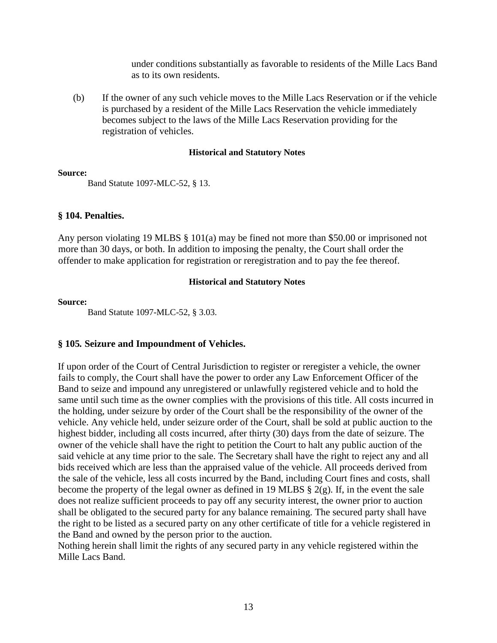under conditions substantially as favorable to residents of the Mille Lacs Band as to its own residents.

(b) If the owner of any such vehicle moves to the Mille Lacs Reservation or if the vehicle is purchased by a resident of the Mille Lacs Reservation the vehicle immediately becomes subject to the laws of the Mille Lacs Reservation providing for the registration of vehicles.

### **Historical and Statutory Notes**

### **Source:**

Band Statute 1097-MLC-52, § 13.

### **§ 104. Penalties.**

Any person violating 19 MLBS § 101(a) may be fined not more than \$50.00 or imprisoned not more than 30 days, or both. In addition to imposing the penalty, the Court shall order the offender to make application for registration or reregistration and to pay the fee thereof.

### **Historical and Statutory Notes**

### **Source:**

Band Statute 1097-MLC-52, § 3.03.

### **§ 105***.* **Seizure and Impoundment of Vehicles.**

If upon order of the Court of Central Jurisdiction to register or reregister a vehicle, the owner fails to comply, the Court shall have the power to order any Law Enforcement Officer of the Band to seize and impound any unregistered or unlawfully registered vehicle and to hold the same until such time as the owner complies with the provisions of this title. All costs incurred in the holding, under seizure by order of the Court shall be the responsibility of the owner of the vehicle. Any vehicle held, under seizure order of the Court, shall be sold at public auction to the highest bidder, including all costs incurred, after thirty (30) days from the date of seizure. The owner of the vehicle shall have the right to petition the Court to halt any public auction of the said vehicle at any time prior to the sale. The Secretary shall have the right to reject any and all bids received which are less than the appraised value of the vehicle. All proceeds derived from the sale of the vehicle, less all costs incurred by the Band, including Court fines and costs, shall become the property of the legal owner as defined in 19 MLBS  $\S$  2(g). If, in the event the sale does not realize sufficient proceeds to pay off any security interest, the owner prior to auction shall be obligated to the secured party for any balance remaining. The secured party shall have the right to be listed as a secured party on any other certificate of title for a vehicle registered in the Band and owned by the person prior to the auction.

Nothing herein shall limit the rights of any secured party in any vehicle registered within the Mille Lacs Band.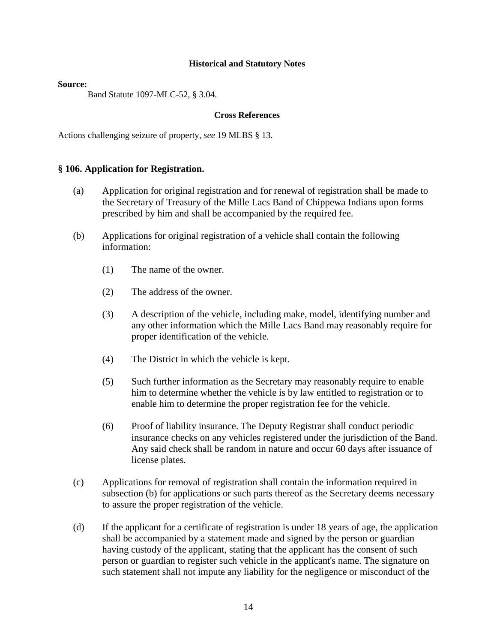#### **Source:**

Band Statute 1097-MLC-52, § 3.04.

### **Cross References**

Actions challenging seizure of property, *see* 19 MLBS § 13.

### **§ 106. Application for Registration.**

- (a) Application for original registration and for renewal of registration shall be made to the Secretary of Treasury of the Mille Lacs Band of Chippewa Indians upon forms prescribed by him and shall be accompanied by the required fee.
- (b) Applications for original registration of a vehicle shall contain the following information:
	- (1) The name of the owner.
	- (2) The address of the owner.
	- (3) A description of the vehicle, including make, model, identifying number and any other information which the Mille Lacs Band may reasonably require for proper identification of the vehicle.
	- (4) The District in which the vehicle is kept.
	- (5) Such further information as the Secretary may reasonably require to enable him to determine whether the vehicle is by law entitled to registration or to enable him to determine the proper registration fee for the vehicle.
	- (6) Proof of liability insurance. The Deputy Registrar shall conduct periodic insurance checks on any vehicles registered under the jurisdiction of the Band. Any said check shall be random in nature and occur 60 days after issuance of license plates.
- (c) Applications for removal of registration shall contain the information required in subsection (b) for applications or such parts thereof as the Secretary deems necessary to assure the proper registration of the vehicle.
- (d) If the applicant for a certificate of registration is under 18 years of age, the application shall be accompanied by a statement made and signed by the person or guardian having custody of the applicant, stating that the applicant has the consent of such person or guardian to register such vehicle in the applicant's name. The signature on such statement shall not impute any liability for the negligence or misconduct of the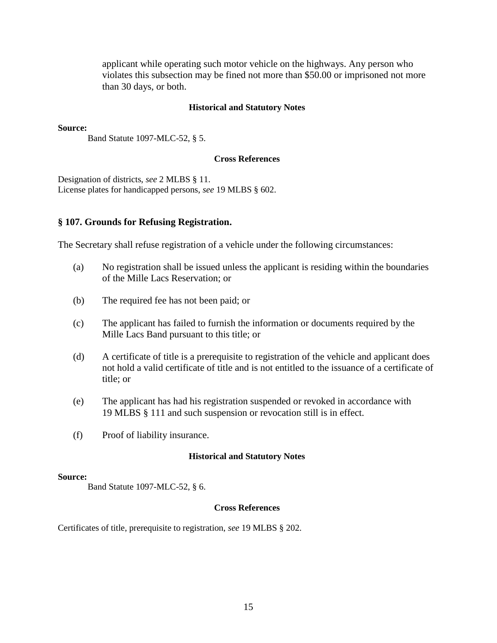applicant while operating such motor vehicle on the highways. Any person who violates this subsection may be fined not more than \$50.00 or imprisoned not more than 30 days, or both.

#### **Historical and Statutory Notes**

**Source:** 

Band Statute 1097-MLC-52, § 5.

#### **Cross References**

Designation of districts, *see* 2 MLBS § 11. License plates for handicapped persons, *see* 19 MLBS § 602.

#### **§ 107. Grounds for Refusing Registration.**

The Secretary shall refuse registration of a vehicle under the following circumstances:

- (a) No registration shall be issued unless the applicant is residing within the boundaries of the Mille Lacs Reservation; or
- (b) The required fee has not been paid; or
- (c) The applicant has failed to furnish the information or documents required by the Mille Lacs Band pursuant to this title; or
- (d) A certificate of title is a prerequisite to registration of the vehicle and applicant does not hold a valid certificate of title and is not entitled to the issuance of a certificate of title; or
- (e) The applicant has had his registration suspended or revoked in accordance with 19 MLBS § 111 and such suspension or revocation still is in effect.
- (f) Proof of liability insurance.

#### **Historical and Statutory Notes**

#### **Source:**

Band Statute 1097-MLC-52, § 6.

#### **Cross References**

Certificates of title, prerequisite to registration, *see* 19 MLBS § 202.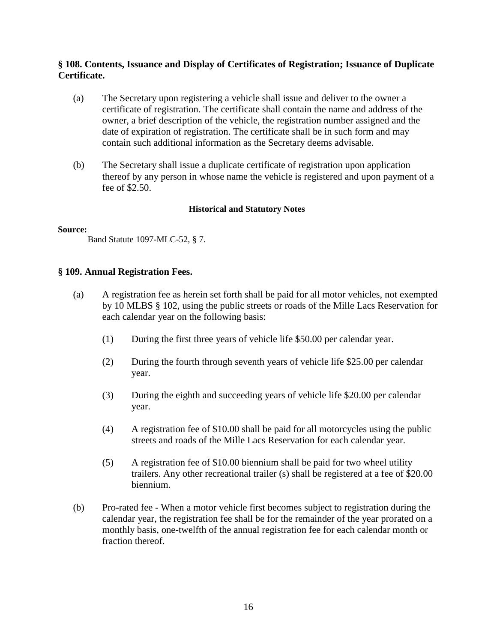### **§ 108. Contents, Issuance and Display of Certificates of Registration; Issuance of Duplicate Certificate.**

- (a) The Secretary upon registering a vehicle shall issue and deliver to the owner a certificate of registration. The certificate shall contain the name and address of the owner, a brief description of the vehicle, the registration number assigned and the date of expiration of registration. The certificate shall be in such form and may contain such additional information as the Secretary deems advisable.
- (b) The Secretary shall issue a duplicate certificate of registration upon application thereof by any person in whose name the vehicle is registered and upon payment of a fee of \$2.50.

### **Historical and Statutory Notes**

### **Source:**

Band Statute 1097-MLC-52, § 7.

### **§ 109. Annual Registration Fees.**

- (a) A registration fee as herein set forth shall be paid for all motor vehicles, not exempted by 10 MLBS § 102, using the public streets or roads of the Mille Lacs Reservation for each calendar year on the following basis:
	- (1) During the first three years of vehicle life \$50.00 per calendar year.
	- (2) During the fourth through seventh years of vehicle life \$25.00 per calendar year.
	- (3) During the eighth and succeeding years of vehicle life \$20.00 per calendar year.
	- (4) A registration fee of \$10.00 shall be paid for all motorcycles using the public streets and roads of the Mille Lacs Reservation for each calendar year.
	- (5) A registration fee of \$10.00 biennium shall be paid for two wheel utility trailers. Any other recreational trailer (s) shall be registered at a fee of \$20.00 biennium.
- (b) Pro-rated fee When a motor vehicle first becomes subject to registration during the calendar year, the registration fee shall be for the remainder of the year prorated on a monthly basis, one-twelfth of the annual registration fee for each calendar month or fraction thereof.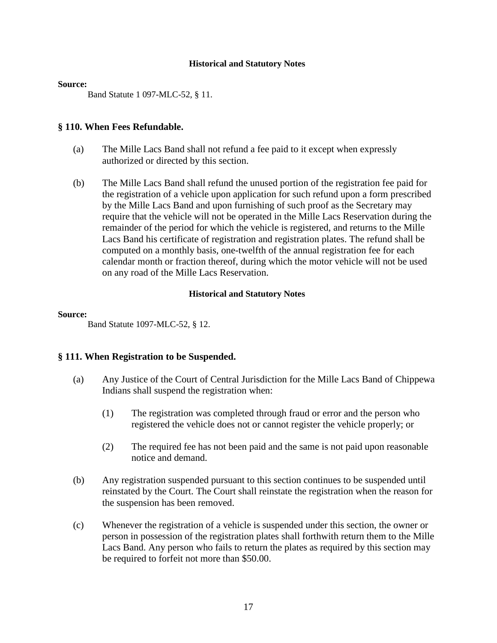#### **Source:**

Band Statute 1 097-MLC-52, § 11.

### **§ 110. When Fees Refundable.**

- (a) The Mille Lacs Band shall not refund a fee paid to it except when expressly authorized or directed by this section.
- (b) The Mille Lacs Band shall refund the unused portion of the registration fee paid for the registration of a vehicle upon application for such refund upon a form prescribed by the Mille Lacs Band and upon furnishing of such proof as the Secretary may require that the vehicle will not be operated in the Mille Lacs Reservation during the remainder of the period for which the vehicle is registered, and returns to the Mille Lacs Band his certificate of registration and registration plates. The refund shall be computed on a monthly basis, one-twelfth of the annual registration fee for each calendar month or fraction thereof, during which the motor vehicle will not be used on any road of the Mille Lacs Reservation.

### **Historical and Statutory Notes**

### **Source:**

Band Statute 1097-MLC-52, § 12.

### **§ 111. When Registration to be Suspended.**

- (a) Any Justice of the Court of Central Jurisdiction for the Mille Lacs Band of Chippewa Indians shall suspend the registration when:
	- (1) The registration was completed through fraud or error and the person who registered the vehicle does not or cannot register the vehicle properly; or
	- (2) The required fee has not been paid and the same is not paid upon reasonable notice and demand.
- (b) Any registration suspended pursuant to this section continues to be suspended until reinstated by the Court. The Court shall reinstate the registration when the reason for the suspension has been removed.
- (c) Whenever the registration of a vehicle is suspended under this section, the owner or person in possession of the registration plates shall forthwith return them to the Mille Lacs Band. Any person who fails to return the plates as required by this section may be required to forfeit not more than \$50.00.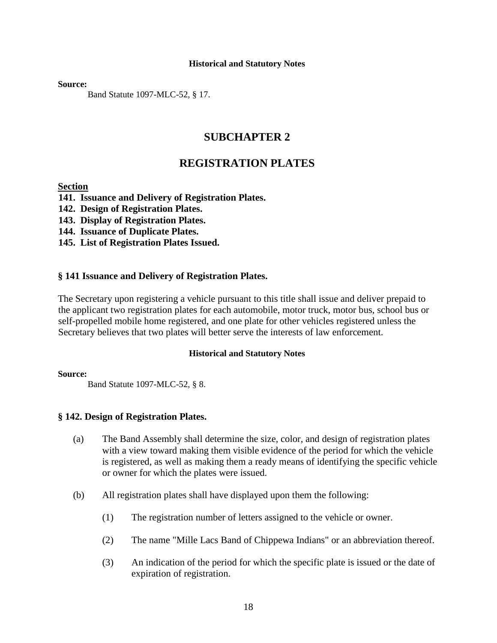**Source:**

Band Statute 1097-MLC-52, § 17.

# **SUBCHAPTER 2**

# **REGISTRATION PLATES**

### **Section**

- **141. Issuance and Delivery of Registration Plates.**
- **142. Design of Registration Plates.**
- **143. Display of Registration Plates.**
- **144. Issuance of Duplicate Plates.**
- **145. List of Registration Plates Issued.**

### **§ 141 Issuance and Delivery of Registration Plates.**

The Secretary upon registering a vehicle pursuant to this title shall issue and deliver prepaid to the applicant two registration plates for each automobile, motor truck, motor bus, school bus or self-propelled mobile home registered, and one plate for other vehicles registered unless the Secretary believes that two plates will better serve the interests of law enforcement.

### **Historical and Statutory Notes**

### **Source:**

Band Statute 1097-MLC-52, § 8.

### **§ 142. Design of Registration Plates.**

- (a) The Band Assembly shall determine the size, color, and design of registration plates with a view toward making them visible evidence of the period for which the vehicle is registered, as well as making them a ready means of identifying the specific vehicle or owner for which the plates were issued.
- (b) All registration plates shall have displayed upon them the following:
	- (1) The registration number of letters assigned to the vehicle or owner.
	- (2) The name "Mille Lacs Band of Chippewa Indians" or an abbreviation thereof.
	- (3) An indication of the period for which the specific plate is issued or the date of expiration of registration.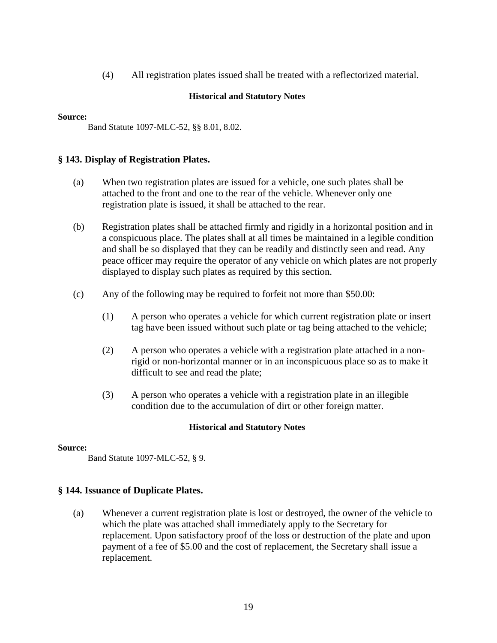(4) All registration plates issued shall be treated with a reflectorized material.

### **Historical and Statutory Notes**

### **Source:**

Band Statute 1097-MLC-52, §§ 8.01, 8.02.

### **§ 143. Display of Registration Plates.**

- (a) When two registration plates are issued for a vehicle, one such plates shall be attached to the front and one to the rear of the vehicle. Whenever only one registration plate is issued, it shall be attached to the rear.
- (b) Registration plates shall be attached firmly and rigidly in a horizontal position and in a conspicuous place. The plates shall at all times be maintained in a legible condition and shall be so displayed that they can be readily and distinctly seen and read. Any peace officer may require the operator of any vehicle on which plates are not properly displayed to display such plates as required by this section.
- (c) Any of the following may be required to forfeit not more than \$50.00:
	- (1) A person who operates a vehicle for which current registration plate or insert tag have been issued without such plate or tag being attached to the vehicle;
	- (2) A person who operates a vehicle with a registration plate attached in a nonrigid or non-horizontal manner or in an inconspicuous place so as to make it difficult to see and read the plate;
	- (3) A person who operates a vehicle with a registration plate in an illegible condition due to the accumulation of dirt or other foreign matter.

### **Historical and Statutory Notes**

### **Source:**

Band Statute 1097-MLC-52, § 9.

### **§ 144. Issuance of Duplicate Plates.**

(a) Whenever a current registration plate is lost or destroyed, the owner of the vehicle to which the plate was attached shall immediately apply to the Secretary for replacement. Upon satisfactory proof of the loss or destruction of the plate and upon payment of a fee of \$5.00 and the cost of replacement, the Secretary shall issue a replacement.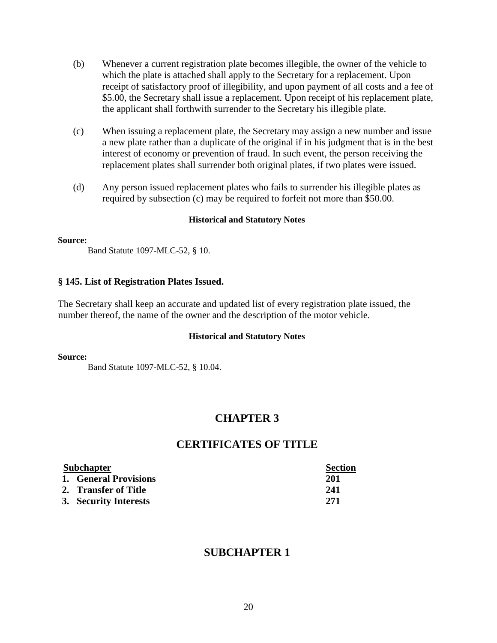- (b) Whenever a current registration plate becomes illegible, the owner of the vehicle to which the plate is attached shall apply to the Secretary for a replacement. Upon receipt of satisfactory proof of illegibility, and upon payment of all costs and a fee of \$5.00, the Secretary shall issue a replacement. Upon receipt of his replacement plate, the applicant shall forthwith surrender to the Secretary his illegible plate.
- (c) When issuing a replacement plate, the Secretary may assign a new number and issue a new plate rather than a duplicate of the original if in his judgment that is in the best interest of economy or prevention of fraud. In such event, the person receiving the replacement plates shall surrender both original plates, if two plates were issued.
- (d) Any person issued replacement plates who fails to surrender his illegible plates as required by subsection (c) may be required to forfeit not more than \$50.00.

#### **Source:**

Band Statute 1097-MLC-52, § 10.

### **§ 145. List of Registration Plates Issued.**

The Secretary shall keep an accurate and updated list of every registration plate issued, the number thereof, the name of the owner and the description of the motor vehicle.

### **Historical and Statutory Notes**

#### **Source:**

Band Statute 1097-MLC-52, § 10.04.

# **CHAPTER 3**

## **CERTIFICATES OF TITLE**

| <b>Subchapter</b> |                       | <b>Section</b> |
|-------------------|-----------------------|----------------|
|                   | 1. General Provisions | 201            |
|                   | 2. Transfer of Title  | 241            |
|                   | 3. Security Interests | 271            |

# **SUBCHAPTER 1**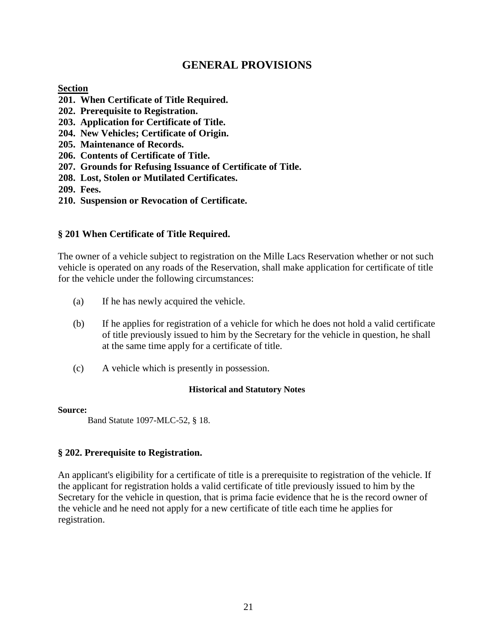# **GENERAL PROVISIONS**

### **Section**

- **201. When Certificate of Title Required.**
- **202. Prerequisite to Registration.**
- **203. Application for Certificate of Title.**
- **204. New Vehicles; Certificate of Origin.**
- **205. Maintenance of Records.**
- **206. Contents of Certificate of Title.**
- **207. Grounds for Refusing Issuance of Certificate of Title.**
- **208. Lost, Stolen or Mutilated Certificates.**
- **209. Fees.**
- **210. Suspension or Revocation of Certificate.**

### **§ 201 When Certificate of Title Required.**

The owner of a vehicle subject to registration on the Mille Lacs Reservation whether or not such vehicle is operated on any roads of the Reservation, shall make application for certificate of title for the vehicle under the following circumstances:

- (a) If he has newly acquired the vehicle.
- (b) If he applies for registration of a vehicle for which he does not hold a valid certificate of title previously issued to him by the Secretary for the vehicle in question, he shall at the same time apply for a certificate of title.
- (c) A vehicle which is presently in possession.

### **Historical and Statutory Notes**

### **Source:**

Band Statute 1097-MLC-52, § 18.

### **§ 202. Prerequisite to Registration.**

An applicant's eligibility for a certificate of title is a prerequisite to registration of the vehicle. If the applicant for registration holds a valid certificate of title previously issued to him by the Secretary for the vehicle in question, that is prima facie evidence that he is the record owner of the vehicle and he need not apply for a new certificate of title each time he applies for registration.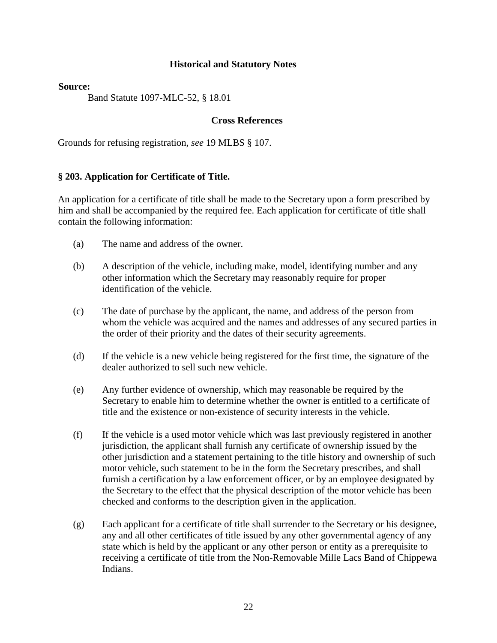### **Source:**

Band Statute 1097-MLC-52, § 18.01

### **Cross References**

Grounds for refusing registration, *see* 19 MLBS § 107.

### **§ 203. Application for Certificate of Title.**

An application for a certificate of title shall be made to the Secretary upon a form prescribed by him and shall be accompanied by the required fee. Each application for certificate of title shall contain the following information:

- (a) The name and address of the owner.
- (b) A description of the vehicle, including make, model, identifying number and any other information which the Secretary may reasonably require for proper identification of the vehicle.
- (c) The date of purchase by the applicant, the name, and address of the person from whom the vehicle was acquired and the names and addresses of any secured parties in the order of their priority and the dates of their security agreements.
- (d) If the vehicle is a new vehicle being registered for the first time, the signature of the dealer authorized to sell such new vehicle.
- (e) Any further evidence of ownership, which may reasonable be required by the Secretary to enable him to determine whether the owner is entitled to a certificate of title and the existence or non-existence of security interests in the vehicle.
- (f) If the vehicle is a used motor vehicle which was last previously registered in another jurisdiction, the applicant shall furnish any certificate of ownership issued by the other jurisdiction and a statement pertaining to the title history and ownership of such motor vehicle, such statement to be in the form the Secretary prescribes, and shall furnish a certification by a law enforcement officer, or by an employee designated by the Secretary to the effect that the physical description of the motor vehicle has been checked and conforms to the description given in the application.
- (g) Each applicant for a certificate of title shall surrender to the Secretary or his designee, any and all other certificates of title issued by any other governmental agency of any state which is held by the applicant or any other person or entity as a prerequisite to receiving a certificate of title from the Non-Removable Mille Lacs Band of Chippewa Indians.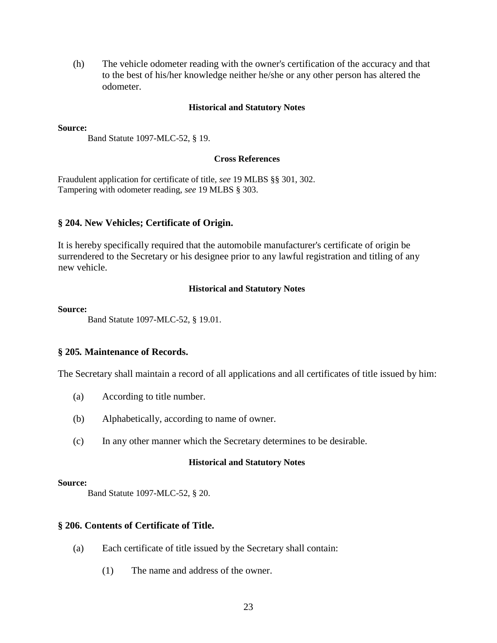(h) The vehicle odometer reading with the owner's certification of the accuracy and that to the best of his/her knowledge neither he/she or any other person has altered the odometer.

#### **Historical and Statutory Notes**

#### **Source:**

Band Statute 1097-MLC-52, § 19.

### **Cross References**

Fraudulent application for certificate of title, *see* 19 MLBS §§ 301, 302. Tampering with odometer reading, *see* 19 MLBS § 303.

### **§ 204. New Vehicles; Certificate of Origin.**

It is hereby specifically required that the automobile manufacturer's certificate of origin be surrendered to the Secretary or his designee prior to any lawful registration and titling of any new vehicle.

#### **Historical and Statutory Notes**

#### **Source:**

Band Statute 1097-MLC-52, § 19.01.

### **§ 205***.* **Maintenance of Records.**

The Secretary shall maintain a record of all applications and all certificates of title issued by him:

- (a) According to title number.
- (b) Alphabetically, according to name of owner.
- (c) In any other manner which the Secretary determines to be desirable.

### **Historical and Statutory Notes**

#### **Source:**

Band Statute 1097-MLC-52, § 20.

### **§ 206. Contents of Certificate of Title.**

- (a) Each certificate of title issued by the Secretary shall contain:
	- (1) The name and address of the owner.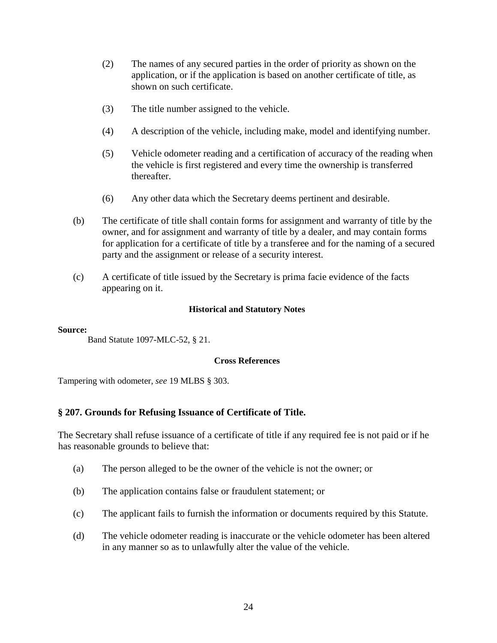- (2) The names of any secured parties in the order of priority as shown on the application, or if the application is based on another certificate of title, as shown on such certificate.
- (3) The title number assigned to the vehicle.
- (4) A description of the vehicle, including make, model and identifying number.
- (5) Vehicle odometer reading and a certification of accuracy of the reading when the vehicle is first registered and every time the ownership is transferred thereafter.
- (6) Any other data which the Secretary deems pertinent and desirable.
- (b) The certificate of title shall contain forms for assignment and warranty of title by the owner, and for assignment and warranty of title by a dealer, and may contain forms for application for a certificate of title by a transferee and for the naming of a secured party and the assignment or release of a security interest.
- (c) A certificate of title issued by the Secretary is prima facie evidence of the facts appearing on it.

### **Source:**

Band Statute 1097-MLC-52, § 21.

### **Cross References**

Tampering with odometer, *see* 19 MLBS § 303.

### **§ 207. Grounds for Refusing Issuance of Certificate of Title.**

The Secretary shall refuse issuance of a certificate of title if any required fee is not paid or if he has reasonable grounds to believe that:

- (a) The person alleged to be the owner of the vehicle is not the owner; or
- (b) The application contains false or fraudulent statement; or
- (c) The applicant fails to furnish the information or documents required by this Statute.
- (d) The vehicle odometer reading is inaccurate or the vehicle odometer has been altered in any manner so as to unlawfully alter the value of the vehicle.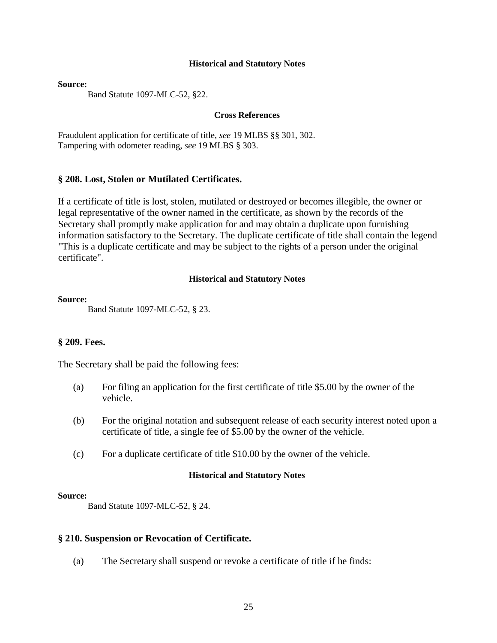**Source:**

Band Statute 1097-MLC-52, §22.

#### **Cross References**

Fraudulent application for certificate of title, *see* 19 MLBS §§ 301, 302. Tampering with odometer reading, *see* 19 MLBS § 303.

### **§ 208. Lost, Stolen or Mutilated Certificates.**

If a certificate of title is lost, stolen, mutilated or destroyed or becomes illegible, the owner or legal representative of the owner named in the certificate, as shown by the records of the Secretary shall promptly make application for and may obtain a duplicate upon furnishing information satisfactory to the Secretary. The duplicate certificate of title shall contain the legend "This is a duplicate certificate and may be subject to the rights of a person under the original certificate".

### **Historical and Statutory Notes**

#### **Source:**

Band Statute 1097-MLC-52, § 23.

### **§ 209. Fees.**

The Secretary shall be paid the following fees:

- (a) For filing an application for the first certificate of title \$5.00 by the owner of the vehicle.
- (b) For the original notation and subsequent release of each security interest noted upon a certificate of title, a single fee of \$5.00 by the owner of the vehicle.
- (c) For a duplicate certificate of title \$10.00 by the owner of the vehicle.

### **Historical and Statutory Notes**

#### **Source:**

Band Statute 1097-MLC-52, § 24.

### **§ 210. Suspension or Revocation of Certificate.**

(a) The Secretary shall suspend or revoke a certificate of title if he finds: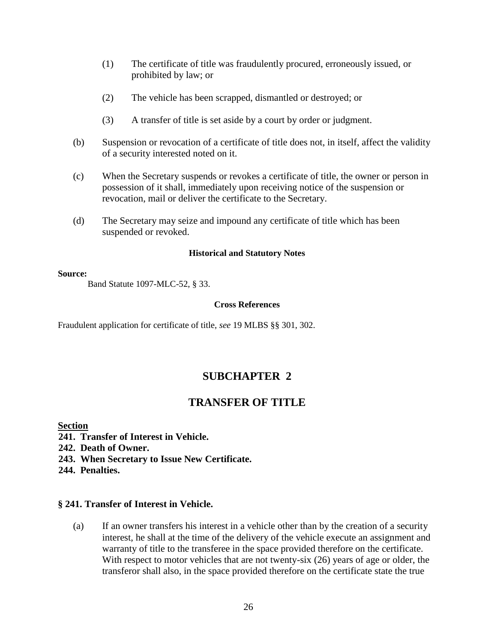- (1) The certificate of title was fraudulently procured, erroneously issued, or prohibited by law; or
- (2) The vehicle has been scrapped, dismantled or destroyed; or
- (3) A transfer of title is set aside by a court by order or judgment.
- (b) Suspension or revocation of a certificate of title does not, in itself, affect the validity of a security interested noted on it.
- (c) When the Secretary suspends or revokes a certificate of title, the owner or person in possession of it shall, immediately upon receiving notice of the suspension or revocation, mail or deliver the certificate to the Secretary.
- (d) The Secretary may seize and impound any certificate of title which has been suspended or revoked.

#### **Source:**

Band Statute 1097-MLC-52, § 33.

### **Cross References**

Fraudulent application for certificate of title, *see* 19 MLBS §§ 301, 302.

# **SUBCHAPTER 2**

# **TRANSFER OF TITLE**

### **Section**

- **241. Transfer of Interest in Vehicle.**
- **242. Death of Owner.**
- **243. When Secretary to Issue New Certificate.**

**244. Penalties.**

### **§ 241. Transfer of Interest in Vehicle.**

(a) If an owner transfers his interest in a vehicle other than by the creation of a security interest, he shall at the time of the delivery of the vehicle execute an assignment and warranty of title to the transferee in the space provided therefore on the certificate. With respect to motor vehicles that are not twenty-six (26) years of age or older, the transferor shall also, in the space provided therefore on the certificate state the true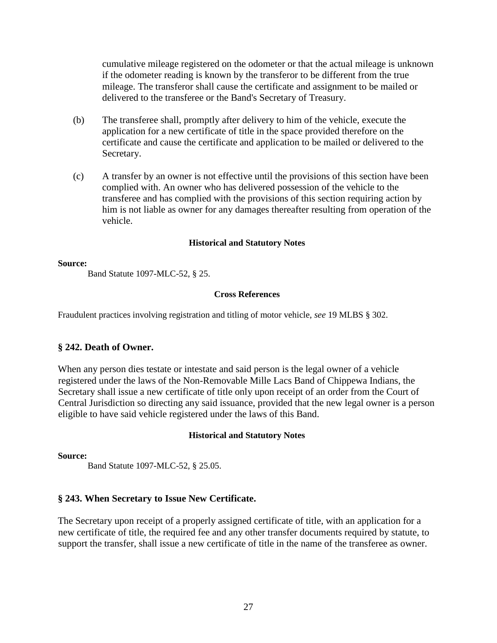cumulative mileage registered on the odometer or that the actual mileage is unknown if the odometer reading is known by the transferor to be different from the true mileage. The transferor shall cause the certificate and assignment to be mailed or delivered to the transferee or the Band's Secretary of Treasury.

- (b) The transferee shall, promptly after delivery to him of the vehicle, execute the application for a new certificate of title in the space provided therefore on the certificate and cause the certificate and application to be mailed or delivered to the Secretary.
- (c) A transfer by an owner is not effective until the provisions of this section have been complied with. An owner who has delivered possession of the vehicle to the transferee and has complied with the provisions of this section requiring action by him is not liable as owner for any damages thereafter resulting from operation of the vehicle.

### **Historical and Statutory Notes**

### **Source:**

Band Statute 1097-MLC-52, § 25.

### **Cross References**

Fraudulent practices involving registration and titling of motor vehicle, *see* 19 MLBS § 302.

### **§ 242. Death of Owner.**

When any person dies testate or intestate and said person is the legal owner of a vehicle registered under the laws of the Non-Removable Mille Lacs Band of Chippewa Indians, the Secretary shall issue a new certificate of title only upon receipt of an order from the Court of Central Jurisdiction so directing any said issuance, provided that the new legal owner is a person eligible to have said vehicle registered under the laws of this Band.

### **Historical and Statutory Notes**

**Source:** 

Band Statute 1097-MLC-52, § 25.05.

### **§ 243. When Secretary to Issue New Certificate.**

The Secretary upon receipt of a properly assigned certificate of title, with an application for a new certificate of title, the required fee and any other transfer documents required by statute, to support the transfer, shall issue a new certificate of title in the name of the transferee as owner.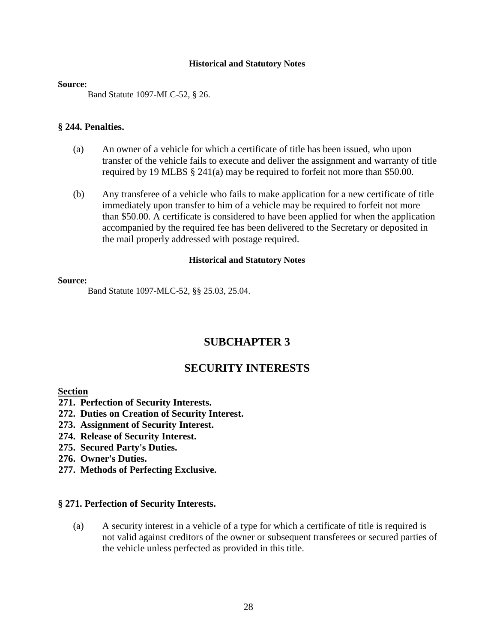#### **Source:**

Band Statute 1097-MLC-52, § 26.

### **§ 244. Penalties.**

- (a) An owner of a vehicle for which a certificate of title has been issued, who upon transfer of the vehicle fails to execute and deliver the assignment and warranty of title required by 19 MLBS § 241(a) may be required to forfeit not more than \$50.00.
- (b) Any transferee of a vehicle who fails to make application for a new certificate of title immediately upon transfer to him of a vehicle may be required to forfeit not more than \$50.00. A certificate is considered to have been applied for when the application accompanied by the required fee has been delivered to the Secretary or deposited in the mail properly addressed with postage required.

### **Historical and Statutory Notes**

#### **Source:**

Band Statute 1097-MLC-52, §§ 25.03, 25.04.

# **SUBCHAPTER 3**

# **SECURITY INTERESTS**

### **Section**

- **271. Perfection of Security Interests.**
- **272. Duties on Creation of Security Interest.**
- **273. Assignment of Security Interest.**
- **274. Release of Security Interest.**
- **275. Secured Party's Duties.**
- **276. Owner's Duties.**
- **277. Methods of Perfecting Exclusive.**

### **§ 271. Perfection of Security Interests.**

(a) A security interest in a vehicle of a type for which a certificate of title is required is not valid against creditors of the owner or subsequent transferees or secured parties of the vehicle unless perfected as provided in this title.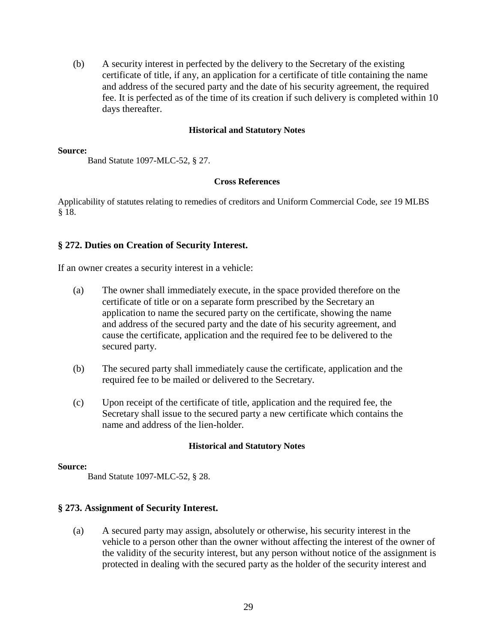(b) A security interest in perfected by the delivery to the Secretary of the existing certificate of title, if any, an application for a certificate of title containing the name and address of the secured party and the date of his security agreement, the required fee. It is perfected as of the time of its creation if such delivery is completed within 10 days thereafter.

### **Historical and Statutory Notes**

#### **Source:**

Band Statute 1097-MLC-52, § 27.

### **Cross References**

Applicability of statutes relating to remedies of creditors and Uniform Commercial Code, *see* 19 MLBS § 18.

### **§ 272. Duties on Creation of Security Interest.**

If an owner creates a security interest in a vehicle:

- (a) The owner shall immediately execute, in the space provided therefore on the certificate of title or on a separate form prescribed by the Secretary an application to name the secured party on the certificate, showing the name and address of the secured party and the date of his security agreement, and cause the certificate, application and the required fee to be delivered to the secured party.
- (b) The secured party shall immediately cause the certificate, application and the required fee to be mailed or delivered to the Secretary.
- (c) Upon receipt of the certificate of title, application and the required fee, the Secretary shall issue to the secured party a new certificate which contains the name and address of the lien-holder.

### **Historical and Statutory Notes**

### **Source:**

Band Statute 1097-MLC-52, § 28.

### **§ 273. Assignment of Security Interest.**

(a) A secured party may assign, absolutely or otherwise, his security interest in the vehicle to a person other than the owner without affecting the interest of the owner of the validity of the security interest, but any person without notice of the assignment is protected in dealing with the secured party as the holder of the security interest and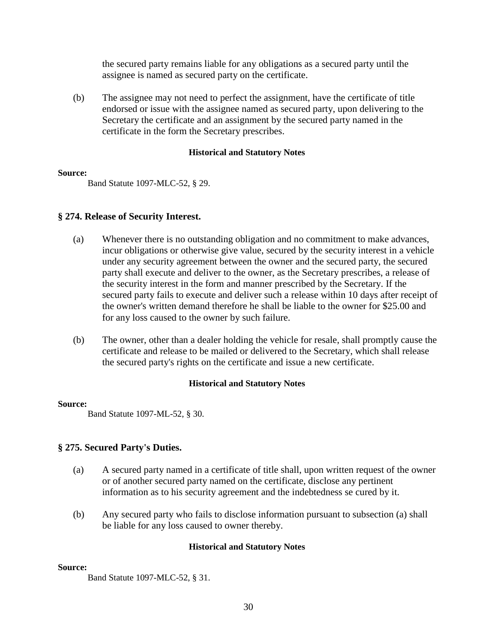the secured party remains liable for any obligations as a secured party until the assignee is named as secured party on the certificate.

(b) The assignee may not need to perfect the assignment, have the certificate of title endorsed or issue with the assignee named as secured party, upon delivering to the Secretary the certificate and an assignment by the secured party named in the certificate in the form the Secretary prescribes.

### **Historical and Statutory Notes**

### **Source:**

Band Statute 1097-MLC-52, § 29.

### **§ 274. Release of Security Interest.**

- (a) Whenever there is no outstanding obligation and no commitment to make advances, incur obligations or otherwise give value, secured by the security interest in a vehicle under any security agreement between the owner and the secured party, the secured party shall execute and deliver to the owner, as the Secretary prescribes, a release of the security interest in the form and manner prescribed by the Secretary. If the secured party fails to execute and deliver such a release within 10 days after receipt of the owner's written demand therefore he shall be liable to the owner for \$25.00 and for any loss caused to the owner by such failure.
- (b) The owner, other than a dealer holding the vehicle for resale, shall promptly cause the certificate and release to be mailed or delivered to the Secretary, which shall release the secured party's rights on the certificate and issue a new certificate.

### **Historical and Statutory Notes**

### **Source:**

Band Statute 1097-ML-52, § 30.

### **§ 275. Secured Party's Duties.**

- (a) A secured party named in a certificate of title shall, upon written request of the owner or of another secured party named on the certificate, disclose any pertinent information as to his security agreement and the indebtedness se cured by it.
- (b) Any secured party who fails to disclose information pursuant to subsection (a) shall be liable for any loss caused to owner thereby.

### **Historical and Statutory Notes**

### **Source:**

Band Statute 1097-MLC-52, § 31.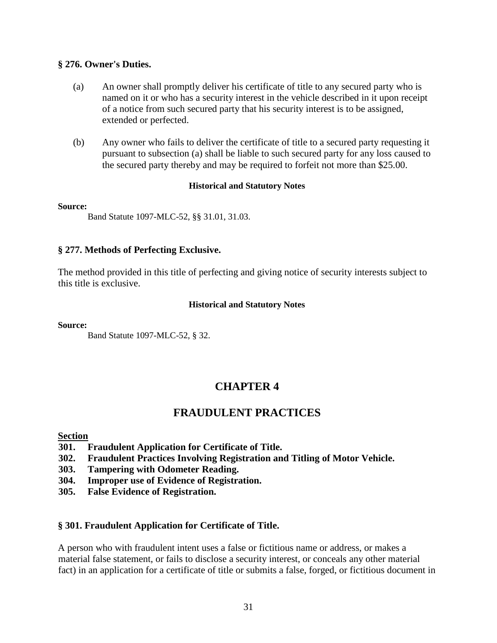### **§ 276. Owner's Duties.**

- (a) An owner shall promptly deliver his certificate of title to any secured party who is named on it or who has a security interest in the vehicle described in it upon receipt of a notice from such secured party that his security interest is to be assigned, extended or perfected.
- (b) Any owner who fails to deliver the certificate of title to a secured party requesting it pursuant to subsection (a) shall be liable to such secured party for any loss caused to the secured party thereby and may be required to forfeit not more than \$25.00.

### **Historical and Statutory Notes**

### **Source:**

Band Statute 1097-MLC-52, §§ 31.01, 31.03.

### **§ 277. Methods of Perfecting Exclusive.**

The method provided in this title of perfecting and giving notice of security interests subject to this title is exclusive.

### **Historical and Statutory Notes**

**Source:** 

Band Statute 1097-MLC-52, § 32.

# **CHAPTER 4**

# **FRAUDULENT PRACTICES**

### **Section**

- **301. Fraudulent Application for Certificate of Title.**
- **302. Fraudulent Practices Involving Registration and Titling of Motor Vehicle.**
- **303. Tampering with Odometer Reading.**
- **304. Improper use of Evidence of Registration.**
- **305. False Evidence of Registration.**

### **§ 301. Fraudulent Application for Certificate of Title.**

A person who with fraudulent intent uses a false or fictitious name or address, or makes a material false statement, or fails to disclose a security interest, or conceals any other material fact) in an application for a certificate of title or submits a false, forged, or fictitious document in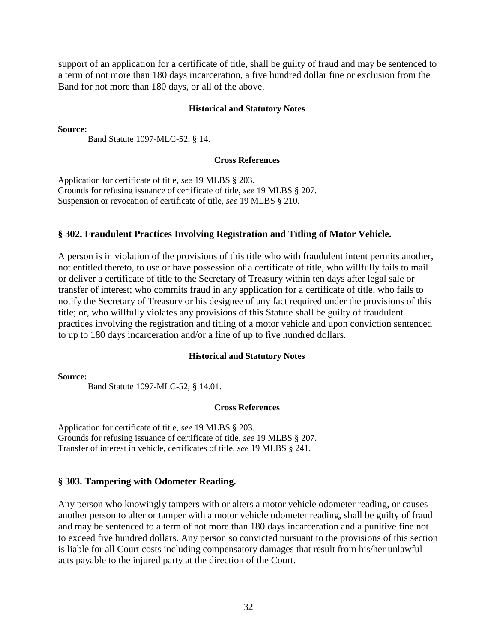support of an application for a certificate of title, shall be guilty of fraud and may be sentenced to a term of not more than 180 days incarceration, a five hundred dollar fine or exclusion from the Band for not more than 180 days, or all of the above.

#### **Historical and Statutory Notes**

**Source:** 

Band Statute 1097-MLC-52, § 14.

### **Cross References**

Application for certificate of title, *see* 19 MLBS § 203. Grounds for refusing issuance of certificate of title, *see* 19 MLBS § 207. Suspension or revocation of certificate of title, *see* 19 MLBS § 210.

### **§ 302. Fraudulent Practices Involving Registration and Titling of Motor Vehicle.**

A person is in violation of the provisions of this title who with fraudulent intent permits another, not entitled thereto, to use or have possession of a certificate of title, who willfully fails to mail or deliver a certificate of title to the Secretary of Treasury within ten days after legal sale or transfer of interest; who commits fraud in any application for a certificate of title, who fails to notify the Secretary of Treasury or his designee of any fact required under the provisions of this title; or, who willfully violates any provisions of this Statute shall be guilty of fraudulent practices involving the registration and titling of a motor vehicle and upon conviction sentenced to up to 180 days incarceration and/or a fine of up to five hundred dollars.

### **Historical and Statutory Notes**

**Source:** 

Band Statute 1097-MLC-52, § 14.01.

#### **Cross References**

Application for certificate of title, *see* 19 MLBS § 203. Grounds for refusing issuance of certificate of title, *see* 19 MLBS § 207. Transfer of interest in vehicle, certificates of title, *see* 19 MLBS § 241.

### **§ 303. Tampering with Odometer Reading.**

Any person who knowingly tampers with or alters a motor vehicle odometer reading, or causes another person to alter or tamper with a motor vehicle odometer reading, shall be guilty of fraud and may be sentenced to a term of not more than 180 days incarceration and a punitive fine not to exceed five hundred dollars. Any person so convicted pursuant to the provisions of this section is liable for all Court costs including compensatory damages that result from his/her unlawful acts payable to the injured party at the direction of the Court.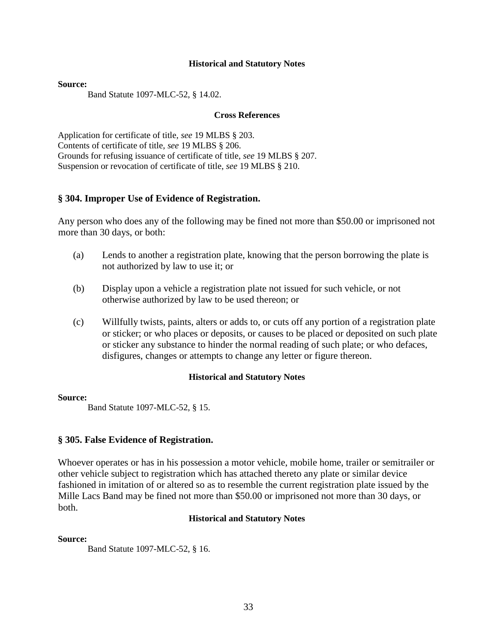#### **Source:**

Band Statute 1097-MLC-52, § 14.02.

#### **Cross References**

Application for certificate of title, *see* 19 MLBS § 203. Contents of certificate of title, *see* 19 MLBS § 206. Grounds for refusing issuance of certificate of title, *see* 19 MLBS § 207. Suspension or revocation of certificate of title, *see* 19 MLBS § 210.

### **§ 304. Improper Use of Evidence of Registration.**

Any person who does any of the following may be fined not more than \$50.00 or imprisoned not more than 30 days, or both:

- (a) Lends to another a registration plate, knowing that the person borrowing the plate is not authorized by law to use it; or
- (b) Display upon a vehicle a registration plate not issued for such vehicle, or not otherwise authorized by law to be used thereon; or
- (c) Willfully twists, paints, alters or adds to, or cuts off any portion of a registration plate or sticker; or who places or deposits, or causes to be placed or deposited on such plate or sticker any substance to hinder the normal reading of such plate; or who defaces, disfigures, changes or attempts to change any letter or figure thereon.

### **Historical and Statutory Notes**

### **Source:**

Band Statute 1097-MLC-52, § 15.

### **§ 305. False Evidence of Registration.**

Whoever operates or has in his possession a motor vehicle, mobile home, trailer or semitrailer or other vehicle subject to registration which has attached thereto any plate or similar device fashioned in imitation of or altered so as to resemble the current registration plate issued by the Mille Lacs Band may be fined not more than \$50.00 or imprisoned not more than 30 days, or both.

### **Historical and Statutory Notes**

### **Source:**

Band Statute 1097-MLC-52, § 16.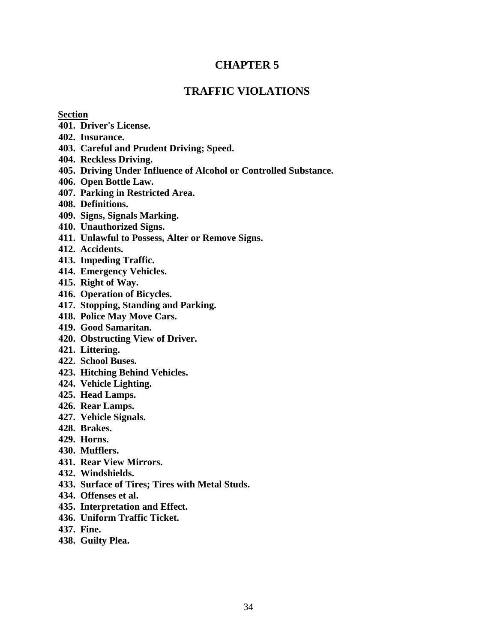# **CHAPTER 5**

# **TRAFFIC VIOLATIONS**

### **Section**

- **401. Driver's License.**
- **402. Insurance.**
- **403. Careful and Prudent Driving; Speed.**
- **404. Reckless Driving.**
- **405. Driving Under Influence of Alcohol or Controlled Substance.**
- **406. Open Bottle Law.**
- **407. Parking in Restricted Area.**
- **408. Definitions.**
- **409. Signs, Signals Marking.**
- **410. Unauthorized Signs.**
- **411. Unlawful to Possess, Alter or Remove Signs.**
- **412. Accidents.**
- **413. Impeding Traffic.**
- **414. Emergency Vehicles.**
- **415. Right of Way.**
- **416. Operation of Bicycles.**
- **417. Stopping, Standing and Parking.**
- **418. Police May Move Cars.**
- **419. Good Samaritan.**
- **420. Obstructing View of Driver.**
- **421. Littering.**
- **422. School Buses.**
- **423. Hitching Behind Vehicles.**
- **424. Vehicle Lighting.**
- **425. Head Lamps.**
- **426. Rear Lamps.**
- **427. Vehicle Signals.**
- **428. Brakes.**
- **429. Horns.**
- **430. Mufflers.**
- **431. Rear View Mirrors.**
- **432. Windshields.**
- **433. Surface of Tires; Tires with Metal Studs.**
- **434. Offenses et al.**
- **435. Interpretation and Effect.**
- **436. Uniform Traffic Ticket.**
- **437. Fine.**
- **438. Guilty Plea.**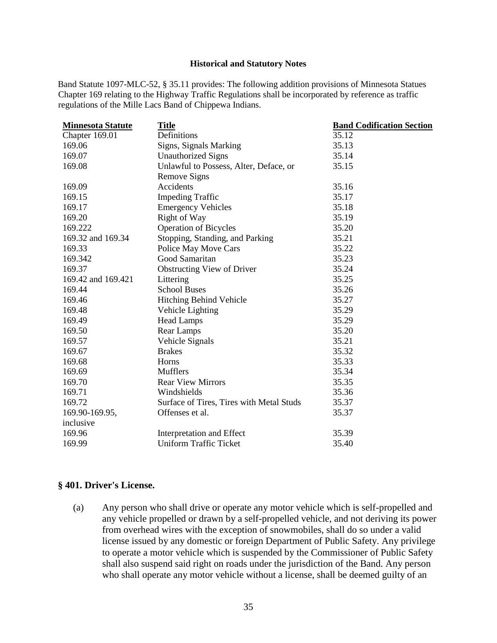Band Statute 1097-MLC-52, § 35.11 provides: The following addition provisions of Minnesota Statues Chapter 169 relating to the Highway Traffic Regulations shall be incorporated by reference as traffic regulations of the Mille Lacs Band of Chippewa Indians.

| <b>Minnesota Statute</b> | <b>Title</b>                             | <b>Band Codification Section</b> |
|--------------------------|------------------------------------------|----------------------------------|
| Chapter 169.01           | Definitions                              | 35.12                            |
| 169.06                   | Signs, Signals Marking                   | 35.13                            |
| 169.07                   | <b>Unauthorized Signs</b>                | 35.14                            |
| 169.08                   | Unlawful to Possess, Alter, Deface, or   | 35.15                            |
|                          | Remove Signs                             |                                  |
| 169.09                   | Accidents                                | 35.16                            |
| 169.15                   | <b>Impeding Traffic</b>                  | 35.17                            |
| 169.17                   | <b>Emergency Vehicles</b>                | 35.18                            |
| 169.20                   | Right of Way                             | 35.19                            |
| 169.222                  | <b>Operation of Bicycles</b>             | 35.20                            |
| 169.32 and 169.34        | Stopping, Standing, and Parking          | 35.21                            |
| 169.33                   | Police May Move Cars                     | 35.22                            |
| 169.342                  | Good Samaritan                           | 35.23                            |
| 169.37                   | <b>Obstructing View of Driver</b>        | 35.24                            |
| 169.42 and 169.421       | Littering                                | 35.25                            |
| 169.44                   | <b>School Buses</b>                      | 35.26                            |
| 169.46                   | Hitching Behind Vehicle                  | 35.27                            |
| 169.48                   | Vehicle Lighting                         | 35.29                            |
| 169.49                   | <b>Head Lamps</b>                        | 35.29                            |
| 169.50                   | Rear Lamps                               | 35.20                            |
| 169.57                   | Vehicle Signals                          | 35.21                            |
| 169.67                   | <b>Brakes</b>                            | 35.32                            |
| 169.68                   | Horns                                    | 35.33                            |
| 169.69                   | <b>Mufflers</b>                          | 35.34                            |
| 169.70                   | <b>Rear View Mirrors</b>                 | 35.35                            |
| 169.71                   | Windshields                              | 35.36                            |
| 169.72                   | Surface of Tires, Tires with Metal Studs | 35.37                            |
| 169.90-169.95,           | Offenses et al.                          | 35.37                            |
| inclusive                |                                          |                                  |
| 169.96                   | Interpretation and Effect                | 35.39                            |
| 169.99                   | <b>Uniform Traffic Ticket</b>            | 35.40                            |
|                          |                                          |                                  |

#### **§ 401. Driver's License.**

(a) Any person who shall drive or operate any motor vehicle which is self-propelled and any vehicle propelled or drawn by a self-propelled vehicle, and not deriving its power from overhead wires with the exception of snowmobiles, shall do so under a valid license issued by any domestic or foreign Department of Public Safety. Any privilege to operate a motor vehicle which is suspended by the Commissioner of Public Safety shall also suspend said right on roads under the jurisdiction of the Band. Any person who shall operate any motor vehicle without a license, shall be deemed guilty of an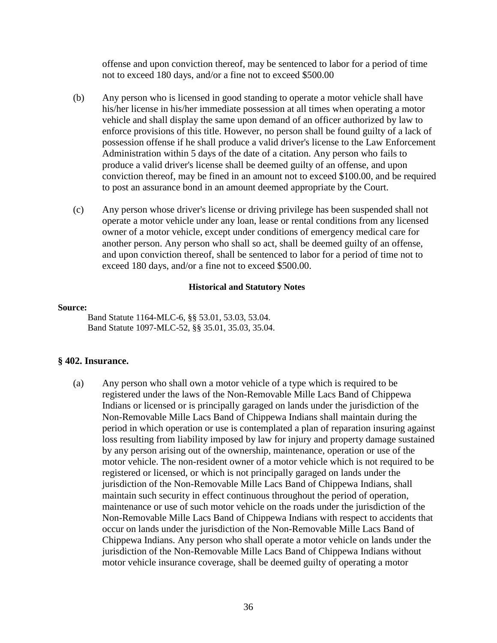offense and upon conviction thereof, may be sentenced to labor for a period of time not to exceed 180 days, and/or a fine not to exceed \$500.00

- (b) Any person who is licensed in good standing to operate a motor vehicle shall have his/her license in his/her immediate possession at all times when operating a motor vehicle and shall display the same upon demand of an officer authorized by law to enforce provisions of this title. However, no person shall be found guilty of a lack of possession offense if he shall produce a valid driver's license to the Law Enforcement Administration within 5 days of the date of a citation. Any person who fails to produce a valid driver's license shall be deemed guilty of an offense, and upon conviction thereof, may be fined in an amount not to exceed \$100.00, and be required to post an assurance bond in an amount deemed appropriate by the Court.
- (c) Any person whose driver's license or driving privilege has been suspended shall not operate a motor vehicle under any loan, lease or rental conditions from any licensed owner of a motor vehicle, except under conditions of emergency medical care for another person. Any person who shall so act, shall be deemed guilty of an offense, and upon conviction thereof, shall be sentenced to labor for a period of time not to exceed 180 days, and/or a fine not to exceed \$500.00.

#### **Historical and Statutory Notes**

#### **Source:**

Band Statute 1164-MLC-6, §§ 53.01, 53.03, 53.04. Band Statute 1097-MLC-52, §§ 35.01, 35.03, 35.04.

### **§ 402. Insurance.**

(a) Any person who shall own a motor vehicle of a type which is required to be registered under the laws of the Non-Removable Mille Lacs Band of Chippewa Indians or licensed or is principally garaged on lands under the jurisdiction of the Non-Removable Mille Lacs Band of Chippewa Indians shall maintain during the period in which operation or use is contemplated a plan of reparation insuring against loss resulting from liability imposed by law for injury and property damage sustained by any person arising out of the ownership, maintenance, operation or use of the motor vehicle. The non-resident owner of a motor vehicle which is not required to be registered or licensed, or which is not principally garaged on lands under the jurisdiction of the Non-Removable Mille Lacs Band of Chippewa Indians, shall maintain such security in effect continuous throughout the period of operation, maintenance or use of such motor vehicle on the roads under the jurisdiction of the Non-Removable Mille Lacs Band of Chippewa Indians with respect to accidents that occur on lands under the jurisdiction of the Non-Removable Mille Lacs Band of Chippewa Indians. Any person who shall operate a motor vehicle on lands under the jurisdiction of the Non-Removable Mille Lacs Band of Chippewa Indians without motor vehicle insurance coverage, shall be deemed guilty of operating a motor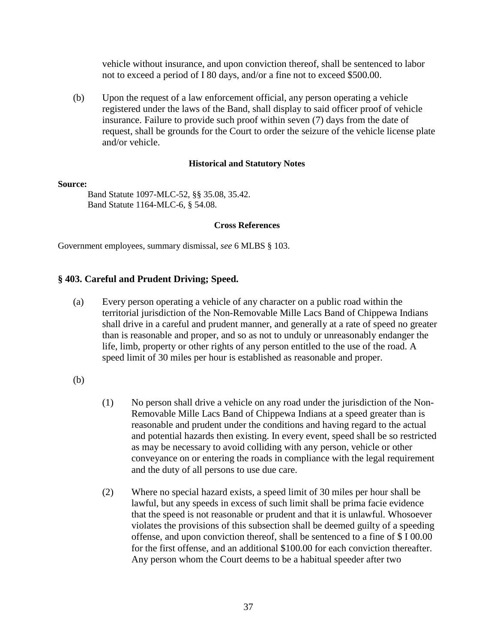vehicle without insurance, and upon conviction thereof, shall be sentenced to labor not to exceed a period of I 80 days, and/or a fine not to exceed \$500.00.

(b) Upon the request of a law enforcement official, any person operating a vehicle registered under the laws of the Band, shall display to said officer proof of vehicle insurance. Failure to provide such proof within seven (7) days from the date of request, shall be grounds for the Court to order the seizure of the vehicle license plate and/or vehicle.

#### **Historical and Statutory Notes**

#### **Source:**

Band Statute 1097-MLC-52, §§ 35.08, 35.42. Band Statute 1164-MLC-6, § 54.08.

#### **Cross References**

Government employees, summary dismissal, *see* 6 MLBS § 103.

### **§ 403. Careful and Prudent Driving; Speed.**

(a) Every person operating a vehicle of any character on a public road within the territorial jurisdiction of the Non-Removable Mille Lacs Band of Chippewa Indians shall drive in a careful and prudent manner, and generally at a rate of speed no greater than is reasonable and proper, and so as not to unduly or unreasonably endanger the life, limb, property or other rights of any person entitled to the use of the road. A speed limit of 30 miles per hour is established as reasonable and proper.

(b)

- (1) No person shall drive a vehicle on any road under the jurisdiction of the Non-Removable Mille Lacs Band of Chippewa Indians at a speed greater than is reasonable and prudent under the conditions and having regard to the actual and potential hazards then existing. In every event, speed shall be so restricted as may be necessary to avoid colliding with any person, vehicle or other conveyance on or entering the roads in compliance with the legal requirement and the duty of all persons to use due care.
- (2) Where no special hazard exists, a speed limit of 30 miles per hour shall be lawful, but any speeds in excess of such limit shall be prima facie evidence that the speed is not reasonable or prudent and that it is unlawful. Whosoever violates the provisions of this subsection shall be deemed guilty of a speeding offense, and upon conviction thereof, shall be sentenced to a fine of \$ I 00.00 for the first offense, and an additional \$100.00 for each conviction thereafter. Any person whom the Court deems to be a habitual speeder after two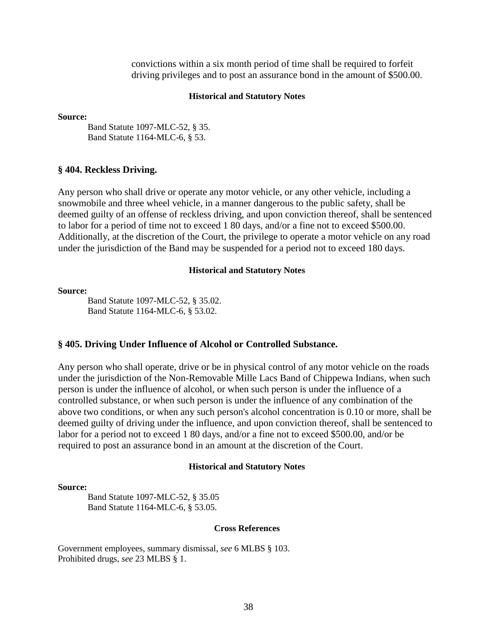convictions within a six month period of time shall be required to forfeit driving privileges and to post an assurance bond in the amount of \$500.00.

#### **Historical and Statutory Notes**

#### **Source:**

Band Statute 1097-MLC-52, § 35. Band Statute 1164-MLC-6, § 53.

#### **§ 404. Reckless Driving.**

Any person who shall drive or operate any motor vehicle, or any other vehicle, including a snowmobile and three wheel vehicle, in a manner dangerous to the public safety, shall be deemed guilty of an offense of reckless driving, and upon conviction thereof, shall be sentenced to labor for a period of time not to exceed 1 80 days, and/or a fine not to exceed \$500.00. Additionally, at the discretion of the Court, the privilege to operate a motor vehicle on any road under the jurisdiction of the Band may be suspended for a period not to exceed 180 days.

#### **Historical and Statutory Notes**

#### **Source:**

Band Statute 1097-MLC-52, § 35.02. Band Statute 1164-MLC-6, § 53.02.

#### **§ 405. Driving Under Influence of Alcohol or Controlled Substance.**

Any person who shall operate, drive or be in physical control of any motor vehicle on the roads under the jurisdiction of the Non-Removable Mille Lacs Band of Chippewa Indians, when such person is under the influence of alcohol, or when such person is under the influence of a controlled substance, or when such person is under the influence of any combination of the above two conditions, or when any such person's alcohol concentration is 0.10 or more, shall be deemed guilty of driving under the influence, and upon conviction thereof, shall be sentenced to labor for a period not to exceed 1 80 days, and/or a fine not to exceed \$500.00, and/or be required to post an assurance bond in an amount at the discretion of the Court.

#### **Historical and Statutory Notes**

#### **Source:**

Band Statute 1097-MLC-52, § 35.05 Band Statute 1164-MLC-6, § 53.05.

#### **Cross References**

Government employees, summary dismissal, *see* 6 MLBS § 103. Prohibited drugs, *see* 23 MLBS § 1.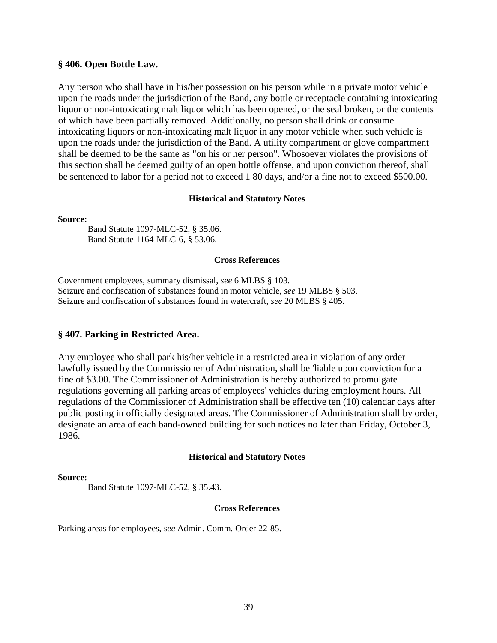#### **§ 406. Open Bottle Law.**

Any person who shall have in his/her possession on his person while in a private motor vehicle upon the roads under the jurisdiction of the Band, any bottle or receptacle containing intoxicating liquor or non-intoxicating malt liquor which has been opened, or the seal broken, or the contents of which have been partially removed. Additionally, no person shall drink or consume intoxicating liquors or non-intoxicating malt liquor in any motor vehicle when such vehicle is upon the roads under the jurisdiction of the Band. A utility compartment or glove compartment shall be deemed to be the same as "on his or her person". Whosoever violates the provisions of this section shall be deemed guilty of an open bottle offense, and upon conviction thereof, shall be sentenced to labor for a period not to exceed 1 80 days, and/or a fine not to exceed \$500.00.

#### **Historical and Statutory Notes**

**Source:** 

Band Statute 1097-MLC-52, § 35.06. Band Statute 1164-MLC-6, § 53.06.

#### **Cross References**

Government employees, summary dismissal, *see* 6 MLBS § 103. Seizure and confiscation of substances found in motor vehicle, *see* 19 MLBS § 503. Seizure and confiscation of substances found in watercraft, *see* 20 MLBS § 405.

### **§ 407. Parking in Restricted Area.**

Any employee who shall park his/her vehicle in a restricted area in violation of any order lawfully issued by the Commissioner of Administration, shall be 'liable upon conviction for a fine of \$3.00. The Commissioner of Administration is hereby authorized to promulgate regulations governing all parking areas of employees' vehicles during employment hours. All regulations of the Commissioner of Administration shall be effective ten (10) calendar days after public posting in officially designated areas. The Commissioner of Administration shall by order, designate an area of each band-owned building for such notices no later than Friday, October 3, 1986.

#### **Historical and Statutory Notes**

#### **Source:**

Band Statute 1097-MLC-52, § 35.43.

#### **Cross References**

Parking areas for employees, *see* Admin. Comm. Order 22-85.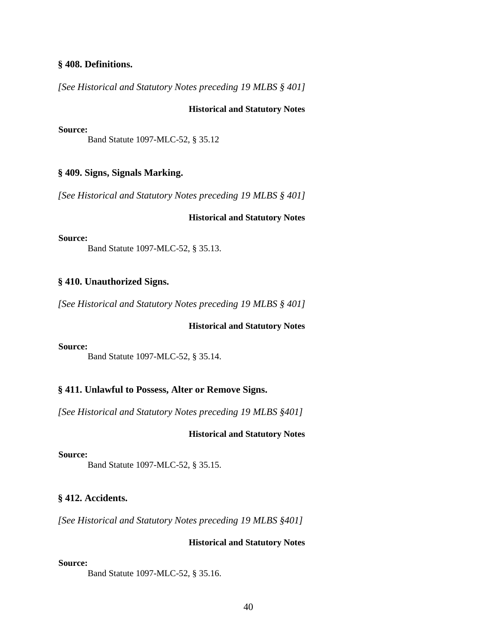#### **§ 408. Definitions.**

*[See Historical and Statutory Notes preceding 19 MLBS § 401]*

#### **Historical and Statutory Notes**

#### **Source:**

Band Statute 1097-MLC-52, § 35.12

### **§ 409. Signs, Signals Marking.**

*[See Historical and Statutory Notes preceding 19 MLBS § 401]*

#### **Historical and Statutory Notes**

### **Source:**

Band Statute 1097-MLC-52, § 35.13.

#### **§ 410. Unauthorized Signs.**

*[See Historical and Statutory Notes preceding 19 MLBS § 401]*

### **Historical and Statutory Notes**

#### **Source:**

Band Statute 1097-MLC-52, § 35.14.

### **§ 411. Unlawful to Possess, Alter or Remove Signs.**

*[See Historical and Statutory Notes preceding 19 MLBS §401]*

### **Historical and Statutory Notes**

#### **Source:**

Band Statute 1097-MLC-52, § 35.15.

### **§ 412. Accidents.**

*[See Historical and Statutory Notes preceding 19 MLBS §401]*

#### **Historical and Statutory Notes**

#### **Source:**

Band Statute 1097-MLC-52, § 35.16.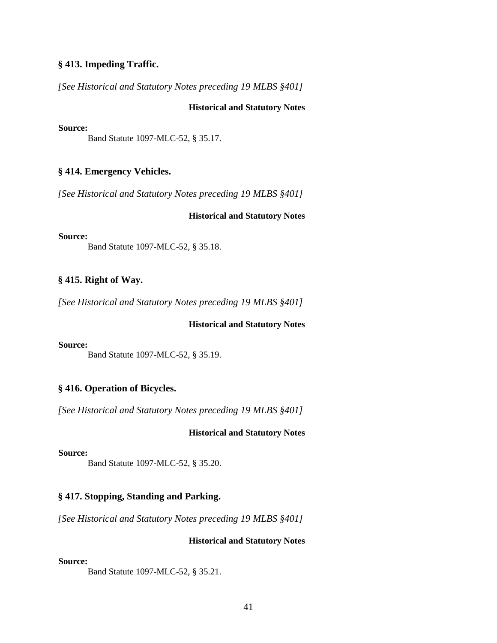### **§ 413. Impeding Traffic.**

*[See Historical and Statutory Notes preceding 19 MLBS §401]*

### **Historical and Statutory Notes**

#### **Source:**

Band Statute 1097-MLC-52, § 35.17.

### **§ 414. Emergency Vehicles.**

*[See Historical and Statutory Notes preceding 19 MLBS §401]*

#### **Historical and Statutory Notes**

### **Source:**

Band Statute 1097-MLC-52, § 35.18.

### **§ 415. Right of Way.**

*[See Historical and Statutory Notes preceding 19 MLBS §401]*

### **Historical and Statutory Notes**

#### **Source:**

Band Statute 1097-MLC-52, § 35.19.

### **§ 416. Operation of Bicycles.**

*[See Historical and Statutory Notes preceding 19 MLBS §401]*

#### **Historical and Statutory Notes**

#### **Source:**

Band Statute 1097-MLC-52, § 35.20.

### **§ 417. Stopping, Standing and Parking.**

*[See Historical and Statutory Notes preceding 19 MLBS §401]*

### **Historical and Statutory Notes**

#### **Source:**

Band Statute 1097-MLC-52, § 35.21.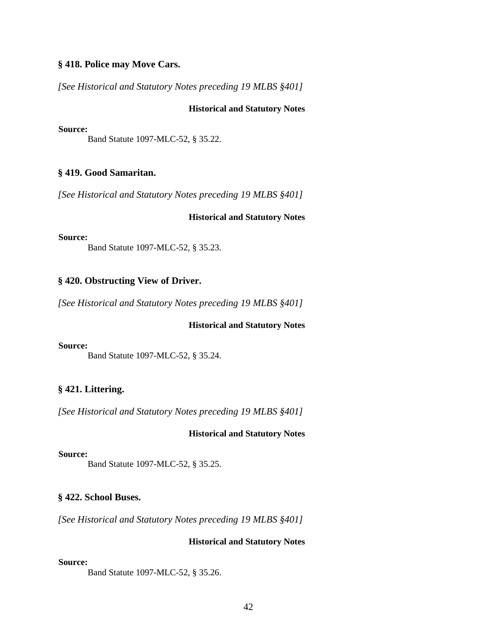### **§ 418. Police may Move Cars.**

*[See Historical and Statutory Notes preceding 19 MLBS §401]*

### **Historical and Statutory Notes**

#### **Source:**

Band Statute 1097-MLC-52, § 35.22.

### **§ 419. Good Samaritan.**

*[See Historical and Statutory Notes preceding 19 MLBS §401]*

### **Historical and Statutory Notes**

#### **Source:**

Band Statute 1097-MLC-52, § 35.23.

### **§ 420. Obstructing View of Driver.**

*[See Historical and Statutory Notes preceding 19 MLBS §401]*

#### **Historical and Statutory Notes**

### **Source:**

Band Statute 1097-MLC-52, § 35.24.

### **§ 421. Littering.**

*[See Historical and Statutory Notes preceding 19 MLBS §401]*

### **Historical and Statutory Notes**

### **Source:**

Band Statute 1097-MLC-52, § 35.25.

### **§ 422. School Buses.**

*[See Historical and Statutory Notes preceding 19 MLBS §401]*

### **Historical and Statutory Notes**

#### **Source:**

Band Statute 1097-MLC-52, § 35.26.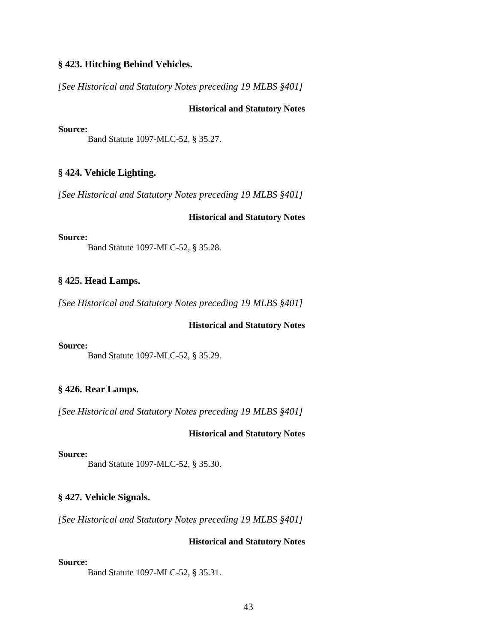### **§ 423. Hitching Behind Vehicles.**

*[See Historical and Statutory Notes preceding 19 MLBS §401]*

### **Historical and Statutory Notes**

#### **Source:**

Band Statute 1097-MLC-52, § 35.27.

### **§ 424. Vehicle Lighting.**

*[See Historical and Statutory Notes preceding 19 MLBS §401]*

#### **Historical and Statutory Notes**

#### **Source:**

Band Statute 1097-MLC-52, § 35.28.

### **§ 425. Head Lamps.**

*[See Historical and Statutory Notes preceding 19 MLBS §401]*

### **Historical and Statutory Notes**

### **Source:**

Band Statute 1097-MLC-52, § 35.29.

### **§ 426. Rear Lamps.**

*[See Historical and Statutory Notes preceding 19 MLBS §401]*

### **Historical and Statutory Notes**

#### **Source:**

Band Statute 1097-MLC-52, § 35.30.

### **§ 427. Vehicle Signals.**

*[See Historical and Statutory Notes preceding 19 MLBS §401]*

#### **Historical and Statutory Notes**

#### **Source:**

Band Statute 1097-MLC-52, § 35.31.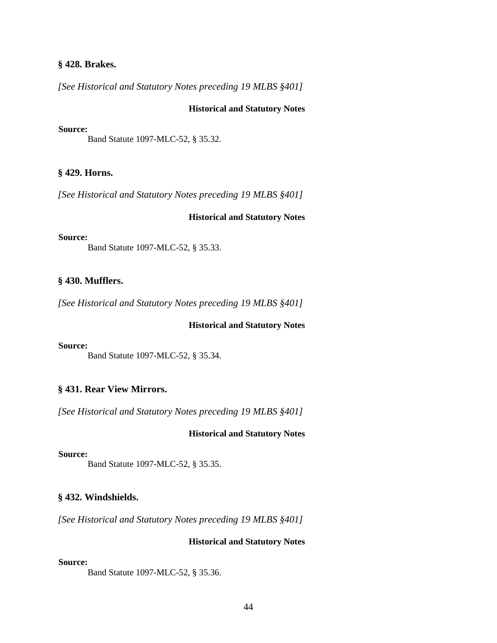### **§ 428. Brakes.**

*[See Historical and Statutory Notes preceding 19 MLBS §401]*

### **Historical and Statutory Notes**

#### **Source:**

Band Statute 1097-MLC-52, § 35.32.

#### **§ 429. Horns.**

*[See Historical and Statutory Notes preceding 19 MLBS §401]*

#### **Historical and Statutory Notes**

#### **Source:**

Band Statute 1097-MLC-52, § 35.33.

#### **§ 430. Mufflers.**

*[See Historical and Statutory Notes preceding 19 MLBS §401]*

#### **Historical and Statutory Notes**

### **Source:**

Band Statute 1097-MLC-52, § 35.34.

### **§ 431. Rear View Mirrors.**

*[See Historical and Statutory Notes preceding 19 MLBS §401]*

### **Historical and Statutory Notes**

#### **Source:**

Band Statute 1097-MLC-52, § 35.35.

#### **§ 432. Windshields.**

*[See Historical and Statutory Notes preceding 19 MLBS §401]*

#### **Historical and Statutory Notes**

#### **Source:**

Band Statute 1097-MLC-52, § 35.36.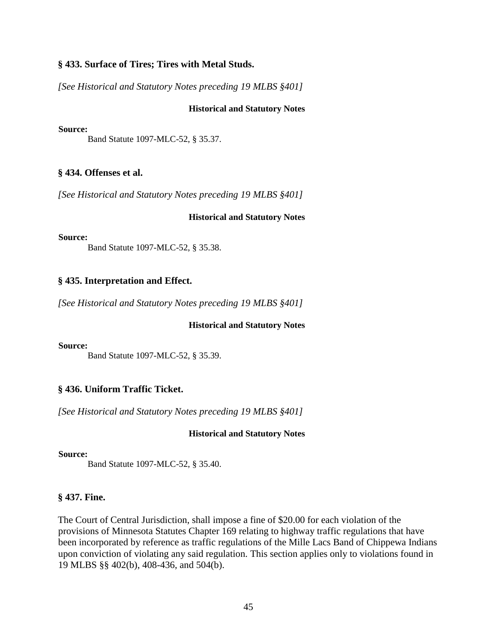### **§ 433. Surface of Tires; Tires with Metal Studs.**

*[See Historical and Statutory Notes preceding 19 MLBS §401]*

### **Historical and Statutory Notes**

#### **Source:**

Band Statute 1097-MLC-52, § 35.37.

### **§ 434. Offenses et al.**

*[See Historical and Statutory Notes preceding 19 MLBS §401]*

### **Historical and Statutory Notes**

#### **Source:**

Band Statute 1097-MLC-52, § 35.38.

### **§ 435. Interpretation and Effect.**

*[See Historical and Statutory Notes preceding 19 MLBS §401]*

#### **Historical and Statutory Notes**

### **Source:**

Band Statute 1097-MLC-52, § 35.39.

### **§ 436. Uniform Traffic Ticket.**

*[See Historical and Statutory Notes preceding 19 MLBS §401]*

### **Historical and Statutory Notes**

### **Source:**

Band Statute 1097-MLC-52, § 35.40.

### **§ 437. Fine.**

The Court of Central Jurisdiction, shall impose a fine of \$20.00 for each violation of the provisions of Minnesota Statutes Chapter 169 relating to highway traffic regulations that have been incorporated by reference as traffic regulations of the Mille Lacs Band of Chippewa Indians upon conviction of violating any said regulation. This section applies only to violations found in 19 MLBS §§ 402(b), 408-436, and 504(b).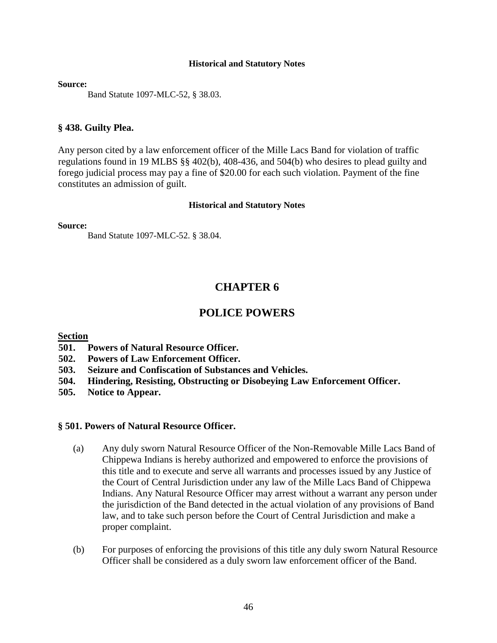**Source:** 

Band Statute 1097-MLC-52, § 38.03.

### **§ 438. Guilty Plea.**

Any person cited by a law enforcement officer of the Mille Lacs Band for violation of traffic regulations found in 19 MLBS §§ 402(b), 408-436, and 504(b) who desires to plead guilty and forego judicial process may pay a fine of \$20.00 for each such violation. Payment of the fine constitutes an admission of guilt.

### **Historical and Statutory Notes**

**Source:**

Band Statute 1097-MLC-52. § 38.04.

# **CHAPTER 6**

# **POLICE POWERS**

### **Section**

- **501. Powers of Natural Resource Officer.**
- **502. Powers of Law Enforcement Officer.**
- **503. Seizure and Confiscation of Substances and Vehicles.**
- **504. Hindering, Resisting, Obstructing or Disobeying Law Enforcement Officer.**
- **505. Notice to Appear.**

### **§ 501. Powers of Natural Resource Officer.**

- (a) Any duly sworn Natural Resource Officer of the Non-Removable Mille Lacs Band of Chippewa Indians is hereby authorized and empowered to enforce the provisions of this title and to execute and serve all warrants and processes issued by any Justice of the Court of Central Jurisdiction under any law of the Mille Lacs Band of Chippewa Indians. Any Natural Resource Officer may arrest without a warrant any person under the jurisdiction of the Band detected in the actual violation of any provisions of Band law, and to take such person before the Court of Central Jurisdiction and make a proper complaint.
- (b) For purposes of enforcing the provisions of this title any duly sworn Natural Resource Officer shall be considered as a duly sworn law enforcement officer of the Band.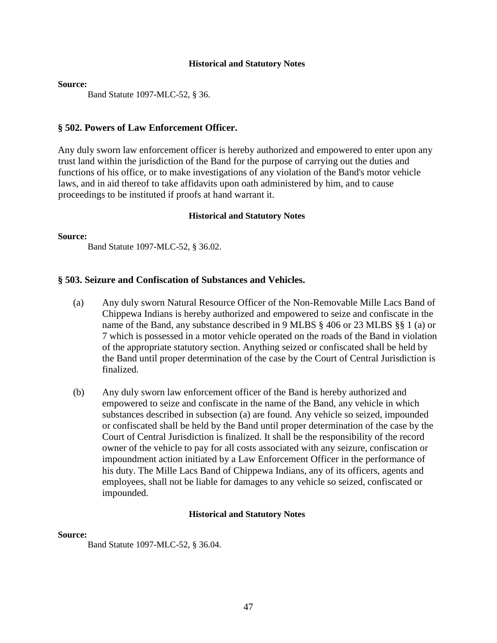#### **Source:**

Band Statute 1097-MLC-52, § 36.

### **§ 502. Powers of Law Enforcement Officer.**

Any duly sworn law enforcement officer is hereby authorized and empowered to enter upon any trust land within the jurisdiction of the Band for the purpose of carrying out the duties and functions of his office, or to make investigations of any violation of the Band's motor vehicle laws, and in aid thereof to take affidavits upon oath administered by him, and to cause proceedings to be instituted if proofs at hand warrant it.

### **Historical and Statutory Notes**

**Source:**

Band Statute 1097-MLC-52, § 36.02.

### **§ 503. Seizure and Confiscation of Substances and Vehicles.**

- (a) Any duly sworn Natural Resource Officer of the Non-Removable Mille Lacs Band of Chippewa Indians is hereby authorized and empowered to seize and confiscate in the name of the Band, any substance described in 9 MLBS § 406 or 23 MLBS §§ 1 (a) or 7 which is possessed in a motor vehicle operated on the roads of the Band in violation of the appropriate statutory section. Anything seized or confiscated shall be held by the Band until proper determination of the case by the Court of Central Jurisdiction is finalized.
- (b) Any duly sworn law enforcement officer of the Band is hereby authorized and empowered to seize and confiscate in the name of the Band, any vehicle in which substances described in subsection (a) are found. Any vehicle so seized, impounded or confiscated shall be held by the Band until proper determination of the case by the Court of Central Jurisdiction is finalized. It shall be the responsibility of the record owner of the vehicle to pay for all costs associated with any seizure, confiscation or impoundment action initiated by a Law Enforcement Officer in the performance of his duty. The Mille Lacs Band of Chippewa Indians, any of its officers, agents and employees, shall not be liable for damages to any vehicle so seized, confiscated or impounded.

### **Historical and Statutory Notes**

### **Source:**

Band Statute 1097-MLC-52, § 36.04.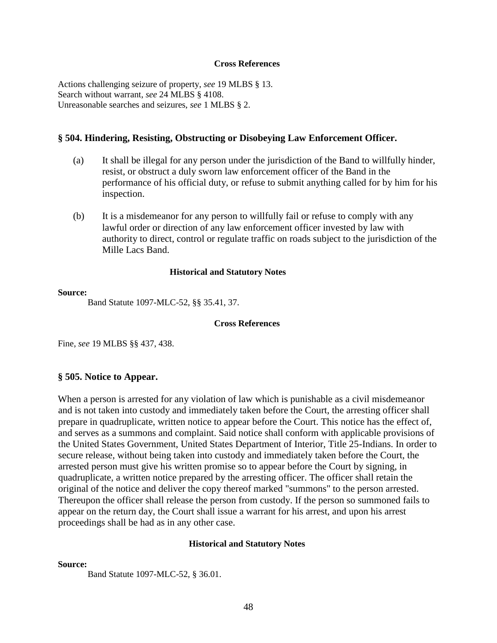#### **Cross References**

Actions challenging seizure of property, *see* 19 MLBS § 13. Search without warrant, *see* 24 MLBS § 4108. Unreasonable searches and seizures, *see* 1 MLBS § 2.

### **§ 504. Hindering, Resisting, Obstructing or Disobeying Law Enforcement Officer.**

- (a) It shall be illegal for any person under the jurisdiction of the Band to willfully hinder, resist, or obstruct a duly sworn law enforcement officer of the Band in the performance of his official duty, or refuse to submit anything called for by him for his inspection.
- (b) It is a misdemeanor for any person to willfully fail or refuse to comply with any lawful order or direction of any law enforcement officer invested by law with authority to direct, control or regulate traffic on roads subject to the jurisdiction of the Mille Lacs Band.

### **Historical and Statutory Notes**

#### **Source:**

Band Statute 1097-MLC-52, §§ 35.41, 37.

#### **Cross References**

Fine, *see* 19 MLBS §§ 437, 438.

### **§ 505. Notice to Appear.**

When a person is arrested for any violation of law which is punishable as a civil misdemeanor and is not taken into custody and immediately taken before the Court, the arresting officer shall prepare in quadruplicate, written notice to appear before the Court. This notice has the effect of, and serves as a summons and complaint. Said notice shall conform with applicable provisions of the United States Government, United States Department of Interior, Title 25-Indians. In order to secure release, without being taken into custody and immediately taken before the Court, the arrested person must give his written promise so to appear before the Court by signing, in quadruplicate, a written notice prepared by the arresting officer. The officer shall retain the original of the notice and deliver the copy thereof marked "summons" to the person arrested. Thereupon the officer shall release the person from custody. If the person so summoned fails to appear on the return day, the Court shall issue a warrant for his arrest, and upon his arrest proceedings shall be had as in any other case.

### **Historical and Statutory Notes**

#### **Source:**

Band Statute 1097-MLC-52, § 36.01.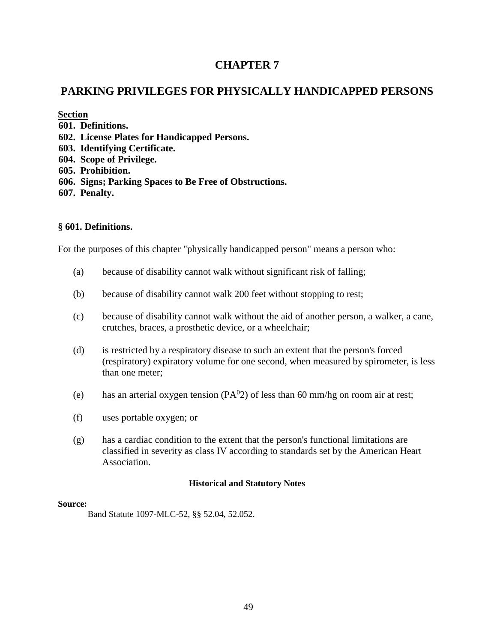# **CHAPTER 7**

# **PARKING PRIVILEGES FOR PHYSICALLY HANDICAPPED PERSONS**

**Section**

- **601. Definitions.**
- **602. License Plates for Handicapped Persons.**
- **603. Identifying Certificate.**
- **604. Scope of Privilege.**
- **605. Prohibition.**
- **606. Signs; Parking Spaces to Be Free of Obstructions.**
- **607. Penalty.**

### **§ 601. Definitions.**

For the purposes of this chapter "physically handicapped person" means a person who:

- (a) because of disability cannot walk without significant risk of falling;
- (b) because of disability cannot walk 200 feet without stopping to rest;
- (c) because of disability cannot walk without the aid of another person, a walker, a cane, crutches, braces, a prosthetic device, or a wheelchair;
- (d) is restricted by a respiratory disease to such an extent that the person's forced (respiratory) expiratory volume for one second, when measured by spirometer, is less than one meter;
- (e) has an arterial oxygen tension ( $PA<sup>0</sup>2$ ) of less than 60 mm/hg on room air at rest;
- (f) uses portable oxygen; or
- (g) has a cardiac condition to the extent that the person's functional limitations are classified in severity as class IV according to standards set by the American Heart Association.

### **Historical and Statutory Notes**

### **Source:**

Band Statute 1097-MLC-52, §§ 52.04, 52.052.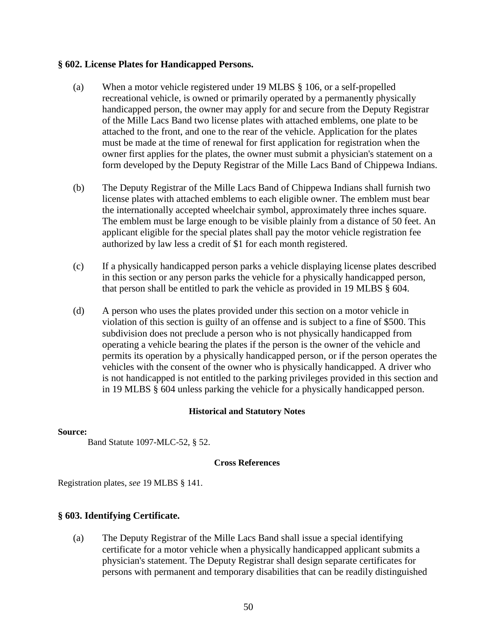### **§ 602. License Plates for Handicapped Persons.**

- (a) When a motor vehicle registered under 19 MLBS § 106, or a self-propelled recreational vehicle, is owned or primarily operated by a permanently physically handicapped person, the owner may apply for and secure from the Deputy Registrar of the Mille Lacs Band two license plates with attached emblems, one plate to be attached to the front, and one to the rear of the vehicle. Application for the plates must be made at the time of renewal for first application for registration when the owner first applies for the plates, the owner must submit a physician's statement on a form developed by the Deputy Registrar of the Mille Lacs Band of Chippewa Indians.
- (b) The Deputy Registrar of the Mille Lacs Band of Chippewa Indians shall furnish two license plates with attached emblems to each eligible owner. The emblem must bear the internationally accepted wheelchair symbol, approximately three inches square. The emblem must be large enough to be visible plainly from a distance of 50 feet. An applicant eligible for the special plates shall pay the motor vehicle registration fee authorized by law less a credit of \$1 for each month registered.
- (c) If a physically handicapped person parks a vehicle displaying license plates described in this section or any person parks the vehicle for a physically handicapped person, that person shall be entitled to park the vehicle as provided in 19 MLBS § 604.
- (d) A person who uses the plates provided under this section on a motor vehicle in violation of this section is guilty of an offense and is subject to a fine of \$500. This subdivision does not preclude a person who is not physically handicapped from operating a vehicle bearing the plates if the person is the owner of the vehicle and permits its operation by a physically handicapped person, or if the person operates the vehicles with the consent of the owner who is physically handicapped. A driver who is not handicapped is not entitled to the parking privileges provided in this section and in 19 MLBS § 604 unless parking the vehicle for a physically handicapped person.

### **Historical and Statutory Notes**

### **Source:**

Band Statute 1097-MLC-52, § 52.

### **Cross References**

Registration plates, *see* 19 MLBS § 141.

### **§ 603. Identifying Certificate.**

(a) The Deputy Registrar of the Mille Lacs Band shall issue a special identifying certificate for a motor vehicle when a physically handicapped applicant submits a physician's statement. The Deputy Registrar shall design separate certificates for persons with permanent and temporary disabilities that can be readily distinguished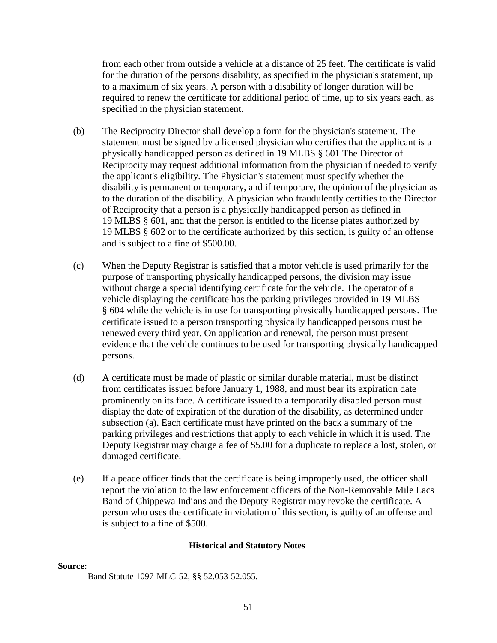from each other from outside a vehicle at a distance of 25 feet. The certificate is valid for the duration of the persons disability, as specified in the physician's statement, up to a maximum of six years. A person with a disability of longer duration will be required to renew the certificate for additional period of time, up to six years each, as specified in the physician statement.

- (b) The Reciprocity Director shall develop a form for the physician's statement. The statement must be signed by a licensed physician who certifies that the applicant is a physically handicapped person as defined in 19 MLBS § 601 The Director of Reciprocity may request additional information from the physician if needed to verify the applicant's eligibility. The Physician's statement must specify whether the disability is permanent or temporary, and if temporary, the opinion of the physician as to the duration of the disability. A physician who fraudulently certifies to the Director of Reciprocity that a person is a physically handicapped person as defined in 19 MLBS § 601, and that the person is entitled to the license plates authorized by 19 MLBS § 602 or to the certificate authorized by this section, is guilty of an offense and is subject to a fine of \$500.00.
- (c) When the Deputy Registrar is satisfied that a motor vehicle is used primarily for the purpose of transporting physically handicapped persons, the division may issue without charge a special identifying certificate for the vehicle. The operator of a vehicle displaying the certificate has the parking privileges provided in 19 MLBS § 604 while the vehicle is in use for transporting physically handicapped persons. The certificate issued to a person transporting physically handicapped persons must be renewed every third year. On application and renewal, the person must present evidence that the vehicle continues to be used for transporting physically handicapped persons.
- (d) A certificate must be made of plastic or similar durable material, must be distinct from certificates issued before January 1, 1988, and must bear its expiration date prominently on its face. A certificate issued to a temporarily disabled person must display the date of expiration of the duration of the disability, as determined under subsection (a). Each certificate must have printed on the back a summary of the parking privileges and restrictions that apply to each vehicle in which it is used. The Deputy Registrar may charge a fee of \$5.00 for a duplicate to replace a lost, stolen, or damaged certificate.
- (e) If a peace officer finds that the certificate is being improperly used, the officer shall report the violation to the law enforcement officers of the Non-Removable Mile Lacs Band of Chippewa Indians and the Deputy Registrar may revoke the certificate. A person who uses the certificate in violation of this section, is guilty of an offense and is subject to a fine of \$500.

### **Historical and Statutory Notes**

#### **Source:**

Band Statute 1097-MLC-52, §§ 52.053-52.055.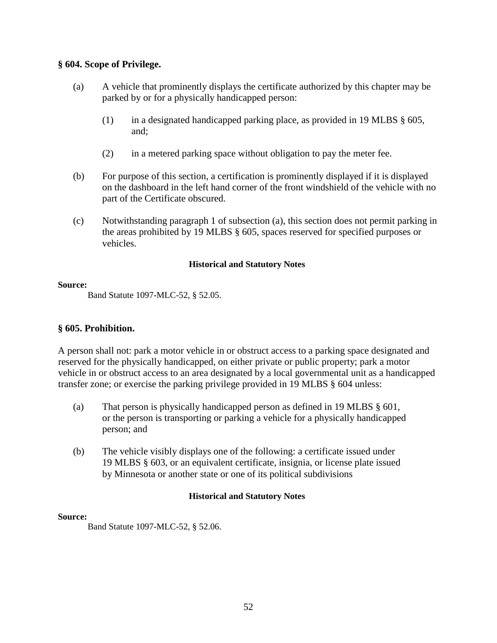### **§ 604. Scope of Privilege.**

- (a) A vehicle that prominently displays the certificate authorized by this chapter may be parked by or for a physically handicapped person:
	- (1) in a designated handicapped parking place, as provided in 19 MLBS § 605, and;
	- (2) in a metered parking space without obligation to pay the meter fee.
- (b) For purpose of this section, a certification is prominently displayed if it is displayed on the dashboard in the left hand corner of the front windshield of the vehicle with no part of the Certificate obscured.
- (c) Notwithstanding paragraph 1 of subsection (a), this section does not permit parking in the areas prohibited by 19 MLBS § 605, spaces reserved for specified purposes or vehicles.

### **Historical and Statutory Notes**

### **Source:**

Band Statute 1097-MLC-52, § 52.05.

### **§ 605. Prohibition.**

A person shall not: park a motor vehicle in or obstruct access to a parking space designated and reserved for the physically handicapped, on either private or public property; park a motor vehicle in or obstruct access to an area designated by a local governmental unit as a handicapped transfer zone; or exercise the parking privilege provided in 19 MLBS § 604 unless:

- (a) That person is physically handicapped person as defined in 19 MLBS § 601, or the person is transporting or parking a vehicle for a physically handicapped person; and
- (b) The vehicle visibly displays one of the following: a certificate issued under 19 MLBS § 603, or an equivalent certificate, insignia, or license plate issued by Minnesota or another state or one of its political subdivisions

### **Historical and Statutory Notes**

### **Source:**

Band Statute 1097-MLC-52, § 52.06.